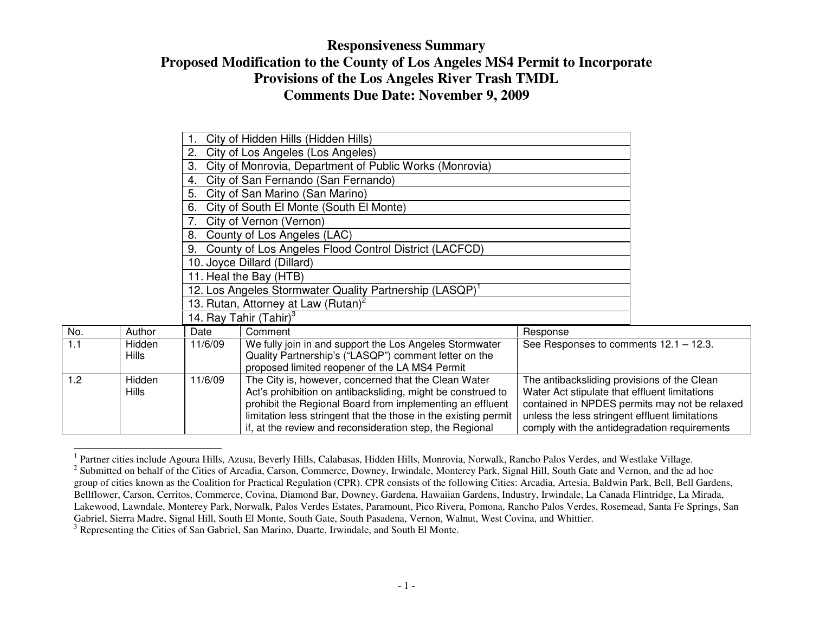|                             |              | 4.      | City of San Fernando (San Fernando)                                 |                                                |                                               |
|-----------------------------|--------------|---------|---------------------------------------------------------------------|------------------------------------------------|-----------------------------------------------|
|                             |              | 5.      | City of San Marino (San Marino)                                     |                                                |                                               |
|                             |              | 6.      | City of South El Monte (South El Monte)                             |                                                |                                               |
|                             |              |         | City of Vernon (Vernon)                                             |                                                |                                               |
|                             |              | 8.      | County of Los Angeles (LAC)                                         |                                                |                                               |
|                             |              | 9.      | County of Los Angeles Flood Control District (LACFCD)               |                                                |                                               |
| 10. Joyce Dillard (Dillard) |              |         |                                                                     |                                                |                                               |
| 11. Heal the Bay (HTB)      |              |         |                                                                     |                                                |                                               |
|                             |              |         | 12. Los Angeles Stormwater Quality Partnership (LASQP) <sup>1</sup> |                                                |                                               |
|                             |              |         | 13. Rutan, Attorney at Law (Rutan) <sup>2</sup>                     |                                                |                                               |
|                             |              |         | 14. Ray Tahir (Tahir) <sup>3</sup>                                  |                                                |                                               |
| No.                         | Author       | Date    | Comment                                                             | Response                                       |                                               |
| 1.1                         | Hidden       | 11/6/09 | We fully join in and support the Los Angeles Stormwater             | See Responses to comments 12.1 - 12.3.         |                                               |
|                             | <b>Hills</b> |         | Quality Partnership's ("LASQP") comment letter on the               |                                                |                                               |
|                             |              |         | proposed limited reopener of the LA MS4 Permit                      |                                                |                                               |
| 1.2                         | Hidden       | 11/6/09 | The City is, however, concerned that the Clean Water                | The antibacksliding provisions of the Clean    |                                               |
|                             | <b>Hills</b> |         | Act's prohibition on antibacksliding, might be construed to         | Water Act stipulate that effluent limitations  |                                               |
|                             |              |         | prohibit the Regional Board from implementing an effluent           |                                                | contained in NPDES permits may not be relaxed |
|                             |              |         | limitation less stringent that the those in the existing permit     | unless the less stringent effluent limitations |                                               |
|                             |              |         | if, at the review and reconsideration step, the Regional            | comply with the antidegradation requirements   |                                               |

<sup>&</sup>lt;sup>1</sup> Partner cities include Agoura Hills, Azusa, Beverly Hills, Calabasas, Hidden Hills, Monrovia, Norwalk, Rancho Palos Verdes, and Westlake Village.  $2^2$  Submitted on behalf of the Cities of Arcadia, Carson, Commerce, Downey, Irwindale, Monterey Park, Signal Hill, South Gate and Vernon, and the ad hoc group of cities known as the Coalition for Practical Regulation (CPR). CPR consists of the following Cities: Arcadia, Artesia, Baldwin Park, Bell, Bell Gardens, Bellflower, Carson, Cerritos, Commerce, Covina, Diamond Bar, Downey, Gardena, Hawaiian Gardens, Industry, Irwindale, La Canada Flintridge, La Mirada, Lakewood, Lawndale, Monterey Park, Norwalk, Palos Verdes Estates, Paramount, Pico Rivera, Pomona, Rancho Palos Verdes, Rosemead, Santa Fe Springs, San Gabriel, Sierra Madre, Signal Hill, South El Monte, South Gate, South Pasadena, Vernon, Walnut, West Covina, and Whittier.

<sup>3</sup> Representing the Cities of San Gabriel, San Marino, Duarte, Irwindale, and South El Monte.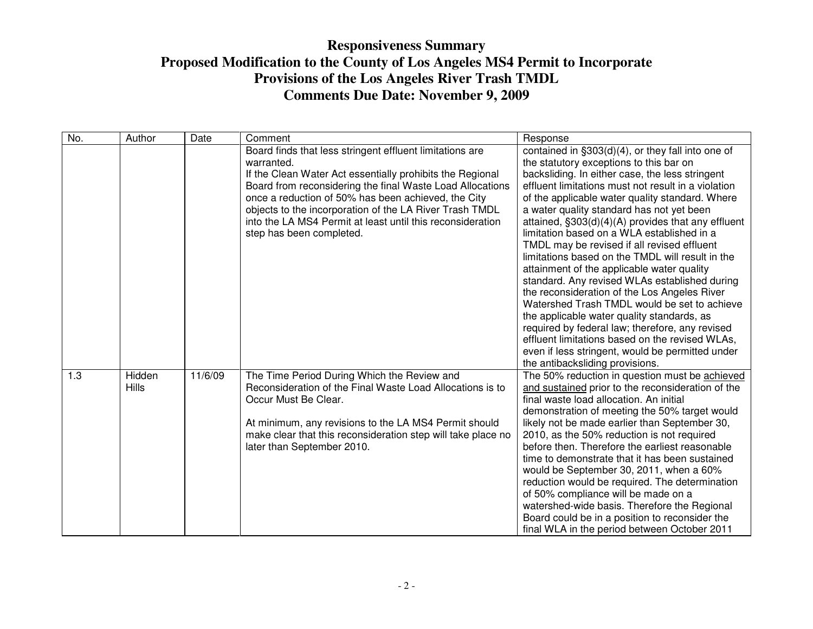| No. | Author                 | Date    | Comment                                                                                                                                                                                                                                                                                                                                                                                                      | Response                                                                                                                                                                                                                                                                                                                                                                                                                                                                                                                                                                                                                                                                                                                                                                                                                                                                                                                                                   |
|-----|------------------------|---------|--------------------------------------------------------------------------------------------------------------------------------------------------------------------------------------------------------------------------------------------------------------------------------------------------------------------------------------------------------------------------------------------------------------|------------------------------------------------------------------------------------------------------------------------------------------------------------------------------------------------------------------------------------------------------------------------------------------------------------------------------------------------------------------------------------------------------------------------------------------------------------------------------------------------------------------------------------------------------------------------------------------------------------------------------------------------------------------------------------------------------------------------------------------------------------------------------------------------------------------------------------------------------------------------------------------------------------------------------------------------------------|
|     |                        |         | Board finds that less stringent effluent limitations are<br>warranted.<br>If the Clean Water Act essentially prohibits the Regional<br>Board from reconsidering the final Waste Load Allocations<br>once a reduction of 50% has been achieved, the City<br>objects to the incorporation of the LA River Trash TMDL<br>into the LA MS4 Permit at least until this reconsideration<br>step has been completed. | contained in §303(d)(4), or they fall into one of<br>the statutory exceptions to this bar on<br>backsliding. In either case, the less stringent<br>effluent limitations must not result in a violation<br>of the applicable water quality standard. Where<br>a water quality standard has not yet been<br>attained, $\S303(d)(4)(A)$ provides that any effluent<br>limitation based on a WLA established in a<br>TMDL may be revised if all revised effluent<br>limitations based on the TMDL will result in the<br>attainment of the applicable water quality<br>standard. Any revised WLAs established during<br>the reconsideration of the Los Angeles River<br>Watershed Trash TMDL would be set to achieve<br>the applicable water quality standards, as<br>required by federal law; therefore, any revised<br>effluent limitations based on the revised WLAs,<br>even if less stringent, would be permitted under<br>the antibacksliding provisions. |
| 1.3 | Hidden<br><b>Hills</b> | 11/6/09 | The Time Period During Which the Review and<br>Reconsideration of the Final Waste Load Allocations is to<br>Occur Must Be Clear.<br>At minimum, any revisions to the LA MS4 Permit should<br>make clear that this reconsideration step will take place no<br>later than September 2010.                                                                                                                      | The 50% reduction in question must be achieved<br>and sustained prior to the reconsideration of the<br>final waste load allocation. An initial<br>demonstration of meeting the 50% target would<br>likely not be made earlier than September 30,<br>2010, as the 50% reduction is not required<br>before then. Therefore the earliest reasonable<br>time to demonstrate that it has been sustained<br>would be September 30, 2011, when a 60%<br>reduction would be required. The determination<br>of 50% compliance will be made on a<br>watershed-wide basis. Therefore the Regional<br>Board could be in a position to reconsider the<br>final WLA in the period between October 2011                                                                                                                                                                                                                                                                   |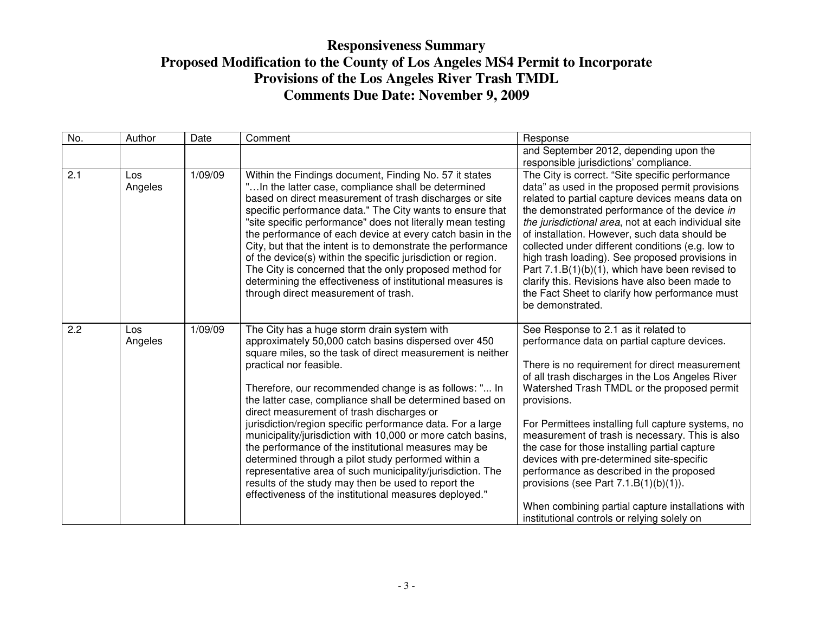| No. | Author         | Date    | Comment                                                                                                                                                                                                                                                                                                                                                                                                                                                                                                                                                                                                                                                                                                                                                                                   | Response                                                                                                                                                                                                                                                                                                                                                                                                                                                                                                                                                                                                                                                    |
|-----|----------------|---------|-------------------------------------------------------------------------------------------------------------------------------------------------------------------------------------------------------------------------------------------------------------------------------------------------------------------------------------------------------------------------------------------------------------------------------------------------------------------------------------------------------------------------------------------------------------------------------------------------------------------------------------------------------------------------------------------------------------------------------------------------------------------------------------------|-------------------------------------------------------------------------------------------------------------------------------------------------------------------------------------------------------------------------------------------------------------------------------------------------------------------------------------------------------------------------------------------------------------------------------------------------------------------------------------------------------------------------------------------------------------------------------------------------------------------------------------------------------------|
|     |                |         |                                                                                                                                                                                                                                                                                                                                                                                                                                                                                                                                                                                                                                                                                                                                                                                           | and September 2012, depending upon the                                                                                                                                                                                                                                                                                                                                                                                                                                                                                                                                                                                                                      |
|     |                |         |                                                                                                                                                                                                                                                                                                                                                                                                                                                                                                                                                                                                                                                                                                                                                                                           | responsible jurisdictions' compliance.                                                                                                                                                                                                                                                                                                                                                                                                                                                                                                                                                                                                                      |
| 2.1 | Los<br>Angeles | 1/09/09 | Within the Findings document, Finding No. 57 it states<br>"In the latter case, compliance shall be determined<br>based on direct measurement of trash discharges or site<br>specific performance data." The City wants to ensure that<br>"site specific performance" does not literally mean testing<br>the performance of each device at every catch basin in the<br>City, but that the intent is to demonstrate the performance<br>of the device(s) within the specific jurisdiction or region.<br>The City is concerned that the only proposed method for<br>determining the effectiveness of institutional measures is<br>through direct measurement of trash.                                                                                                                        | The City is correct. "Site specific performance<br>data" as used in the proposed permit provisions<br>related to partial capture devices means data on<br>the demonstrated performance of the device in<br>the jurisdictional area, not at each individual site<br>of installation. However, such data should be<br>collected under different conditions (e.g. low to<br>high trash loading). See proposed provisions in<br>Part $7.1.B(1)(b)(1)$ , which have been revised to<br>clarify this. Revisions have also been made to<br>the Fact Sheet to clarify how performance must<br>be demonstrated.                                                      |
| 2.2 | Los<br>Angeles | 1/09/09 | The City has a huge storm drain system with<br>approximately 50,000 catch basins dispersed over 450<br>square miles, so the task of direct measurement is neither<br>practical nor feasible.<br>Therefore, our recommended change is as follows: " In<br>the latter case, compliance shall be determined based on<br>direct measurement of trash discharges or<br>jurisdiction/region specific performance data. For a large<br>municipality/jurisdiction with 10,000 or more catch basins,<br>the performance of the institutional measures may be<br>determined through a pilot study performed within a<br>representative area of such municipality/jurisdiction. The<br>results of the study may then be used to report the<br>effectiveness of the institutional measures deployed." | See Response to 2.1 as it related to<br>performance data on partial capture devices.<br>There is no requirement for direct measurement<br>of all trash discharges in the Los Angeles River<br>Watershed Trash TMDL or the proposed permit<br>provisions.<br>For Permittees installing full capture systems, no<br>measurement of trash is necessary. This is also<br>the case for those installing partial capture<br>devices with pre-determined site-specific<br>performance as described in the proposed<br>provisions (see Part $7.1.B(1)(b)(1)$ ).<br>When combining partial capture installations with<br>institutional controls or relying solely on |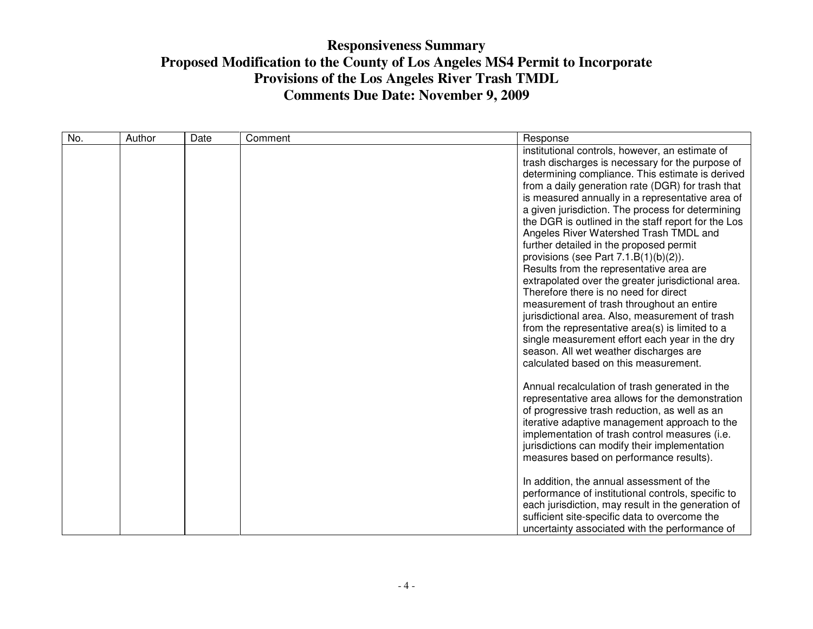| No. | Author | Date | Comment | Response                                                                                                                                                                                                                                                                                                                                                                                                                                                                                                                                                                                                                                                                                                                                                                                                                                                                                                                                      |
|-----|--------|------|---------|-----------------------------------------------------------------------------------------------------------------------------------------------------------------------------------------------------------------------------------------------------------------------------------------------------------------------------------------------------------------------------------------------------------------------------------------------------------------------------------------------------------------------------------------------------------------------------------------------------------------------------------------------------------------------------------------------------------------------------------------------------------------------------------------------------------------------------------------------------------------------------------------------------------------------------------------------|
|     |        |      |         | institutional controls, however, an estimate of<br>trash discharges is necessary for the purpose of<br>determining compliance. This estimate is derived<br>from a daily generation rate (DGR) for trash that<br>is measured annually in a representative area of<br>a given jurisdiction. The process for determining<br>the DGR is outlined in the staff report for the Los<br>Angeles River Watershed Trash TMDL and<br>further detailed in the proposed permit<br>provisions (see Part 7.1.B(1)(b)(2)).<br>Results from the representative area are<br>extrapolated over the greater jurisdictional area.<br>Therefore there is no need for direct<br>measurement of trash throughout an entire<br>jurisdictional area. Also, measurement of trash<br>from the representative area(s) is limited to a<br>single measurement effort each year in the dry<br>season. All wet weather discharges are<br>calculated based on this measurement. |
|     |        |      |         | Annual recalculation of trash generated in the<br>representative area allows for the demonstration<br>of progressive trash reduction, as well as an<br>iterative adaptive management approach to the<br>implementation of trash control measures (i.e.<br>jurisdictions can modify their implementation<br>measures based on performance results).<br>In addition, the annual assessment of the<br>performance of institutional controls, specific to<br>each jurisdiction, may result in the generation of<br>sufficient site-specific data to overcome the<br>uncertainty associated with the performance of                                                                                                                                                                                                                                                                                                                                |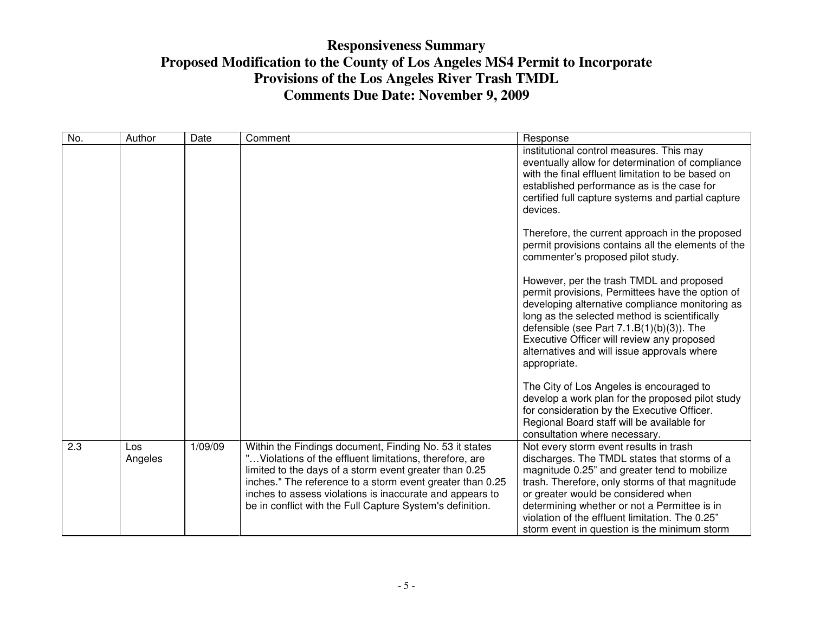| No. | Author         | Date    | Comment                                                                                                                                                                                                                                                                                                                                                            | Response                                                                                                                                                                                                                                                                                                                                                                            |
|-----|----------------|---------|--------------------------------------------------------------------------------------------------------------------------------------------------------------------------------------------------------------------------------------------------------------------------------------------------------------------------------------------------------------------|-------------------------------------------------------------------------------------------------------------------------------------------------------------------------------------------------------------------------------------------------------------------------------------------------------------------------------------------------------------------------------------|
|     |                |         |                                                                                                                                                                                                                                                                                                                                                                    | institutional control measures. This may<br>eventually allow for determination of compliance<br>with the final effluent limitation to be based on<br>established performance as is the case for<br>certified full capture systems and partial capture<br>devices.                                                                                                                   |
|     |                |         |                                                                                                                                                                                                                                                                                                                                                                    | Therefore, the current approach in the proposed<br>permit provisions contains all the elements of the<br>commenter's proposed pilot study.                                                                                                                                                                                                                                          |
|     |                |         |                                                                                                                                                                                                                                                                                                                                                                    | However, per the trash TMDL and proposed<br>permit provisions, Permittees have the option of<br>developing alternative compliance monitoring as<br>long as the selected method is scientifically<br>defensible (see Part $7.1.B(1)(b)(3)$ ). The<br>Executive Officer will review any proposed<br>alternatives and will issue approvals where<br>appropriate.                       |
|     |                |         |                                                                                                                                                                                                                                                                                                                                                                    | The City of Los Angeles is encouraged to<br>develop a work plan for the proposed pilot study<br>for consideration by the Executive Officer.<br>Regional Board staff will be available for<br>consultation where necessary.                                                                                                                                                          |
| 2.3 | Los<br>Angeles | 1/09/09 | Within the Findings document, Finding No. 53 it states<br>" Violations of the effluent limitations, therefore, are<br>limited to the days of a storm event greater than 0.25<br>inches." The reference to a storm event greater than 0.25<br>inches to assess violations is inaccurate and appears to<br>be in conflict with the Full Capture System's definition. | Not every storm event results in trash<br>discharges. The TMDL states that storms of a<br>magnitude 0.25" and greater tend to mobilize<br>trash. Therefore, only storms of that magnitude<br>or greater would be considered when<br>determining whether or not a Permittee is in<br>violation of the effluent limitation. The 0.25"<br>storm event in question is the minimum storm |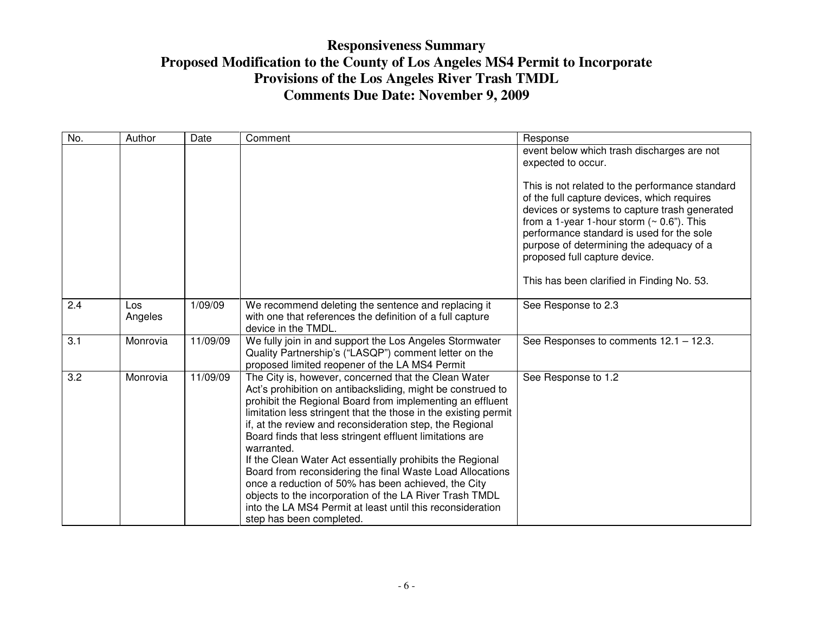| No. | Author         | Date     | Comment                                                                                                                                                                                                                                                                                                                                                                                                                                                                                                                                                                                                                                                                                                                         | Response                                                                                                                                                                                                                                                                                                                                                                                       |
|-----|----------------|----------|---------------------------------------------------------------------------------------------------------------------------------------------------------------------------------------------------------------------------------------------------------------------------------------------------------------------------------------------------------------------------------------------------------------------------------------------------------------------------------------------------------------------------------------------------------------------------------------------------------------------------------------------------------------------------------------------------------------------------------|------------------------------------------------------------------------------------------------------------------------------------------------------------------------------------------------------------------------------------------------------------------------------------------------------------------------------------------------------------------------------------------------|
|     |                |          |                                                                                                                                                                                                                                                                                                                                                                                                                                                                                                                                                                                                                                                                                                                                 | event below which trash discharges are not<br>expected to occur.                                                                                                                                                                                                                                                                                                                               |
|     |                |          |                                                                                                                                                                                                                                                                                                                                                                                                                                                                                                                                                                                                                                                                                                                                 | This is not related to the performance standard<br>of the full capture devices, which requires<br>devices or systems to capture trash generated<br>from a 1-year 1-hour storm $($ $\sim$ 0.6 $^{\prime\prime}$ ). This<br>performance standard is used for the sole<br>purpose of determining the adequacy of a<br>proposed full capture device.<br>This has been clarified in Finding No. 53. |
| 2.4 | Los<br>Angeles | 1/09/09  | We recommend deleting the sentence and replacing it<br>with one that references the definition of a full capture<br>device in the TMDL.                                                                                                                                                                                                                                                                                                                                                                                                                                                                                                                                                                                         | See Response to 2.3                                                                                                                                                                                                                                                                                                                                                                            |
| 3.1 | Monrovia       | 11/09/09 | We fully join in and support the Los Angeles Stormwater<br>Quality Partnership's ("LASQP") comment letter on the<br>proposed limited reopener of the LA MS4 Permit                                                                                                                                                                                                                                                                                                                                                                                                                                                                                                                                                              | See Responses to comments 12.1 - 12.3.                                                                                                                                                                                                                                                                                                                                                         |
| 3.2 | Monrovia       | 11/09/09 | The City is, however, concerned that the Clean Water<br>Act's prohibition on antibacksliding, might be construed to<br>prohibit the Regional Board from implementing an effluent<br>limitation less stringent that the those in the existing permit<br>if, at the review and reconsideration step, the Regional<br>Board finds that less stringent effluent limitations are<br>warranted.<br>If the Clean Water Act essentially prohibits the Regional<br>Board from reconsidering the final Waste Load Allocations<br>once a reduction of 50% has been achieved, the City<br>objects to the incorporation of the LA River Trash TMDL<br>into the LA MS4 Permit at least until this reconsideration<br>step has been completed. | See Response to 1.2                                                                                                                                                                                                                                                                                                                                                                            |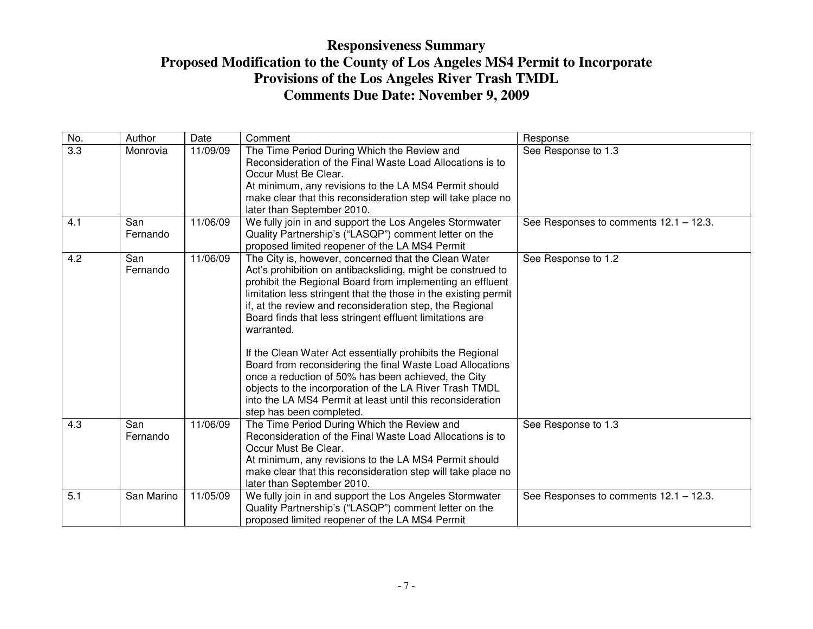| No.              | Author          | Date     | Comment                                                                                                                                                                                                                                                                                                                                                                                                                                                                                                                                                                                                                                                                                                                         | Response                               |
|------------------|-----------------|----------|---------------------------------------------------------------------------------------------------------------------------------------------------------------------------------------------------------------------------------------------------------------------------------------------------------------------------------------------------------------------------------------------------------------------------------------------------------------------------------------------------------------------------------------------------------------------------------------------------------------------------------------------------------------------------------------------------------------------------------|----------------------------------------|
| $\overline{3.3}$ | Monrovia        | 11/09/09 | The Time Period During Which the Review and<br>Reconsideration of the Final Waste Load Allocations is to<br>Occur Must Be Clear.<br>At minimum, any revisions to the LA MS4 Permit should<br>make clear that this reconsideration step will take place no<br>later than September 2010.                                                                                                                                                                                                                                                                                                                                                                                                                                         | See Response to 1.3                    |
| 4.1              | San<br>Fernando | 11/06/09 | We fully join in and support the Los Angeles Stormwater<br>Quality Partnership's ("LASQP") comment letter on the<br>proposed limited reopener of the LA MS4 Permit                                                                                                                                                                                                                                                                                                                                                                                                                                                                                                                                                              | See Responses to comments 12.1 - 12.3. |
| 4.2              | San<br>Fernando | 11/06/09 | The City is, however, concerned that the Clean Water<br>Act's prohibition on antibacksliding, might be construed to<br>prohibit the Regional Board from implementing an effluent<br>limitation less stringent that the those in the existing permit<br>if, at the review and reconsideration step, the Regional<br>Board finds that less stringent effluent limitations are<br>warranted.<br>If the Clean Water Act essentially prohibits the Regional<br>Board from reconsidering the final Waste Load Allocations<br>once a reduction of 50% has been achieved, the City<br>objects to the incorporation of the LA River Trash TMDL<br>into the LA MS4 Permit at least until this reconsideration<br>step has been completed. | See Response to 1.2                    |
| 4.3              | San<br>Fernando | 11/06/09 | The Time Period During Which the Review and<br>Reconsideration of the Final Waste Load Allocations is to<br>Occur Must Be Clear.<br>At minimum, any revisions to the LA MS4 Permit should<br>make clear that this reconsideration step will take place no<br>later than September 2010.                                                                                                                                                                                                                                                                                                                                                                                                                                         | See Response to 1.3                    |
| 5.1              | San Marino      | 11/05/09 | We fully join in and support the Los Angeles Stormwater<br>Quality Partnership's ("LASQP") comment letter on the<br>proposed limited reopener of the LA MS4 Permit                                                                                                                                                                                                                                                                                                                                                                                                                                                                                                                                                              | See Responses to comments 12.1 - 12.3. |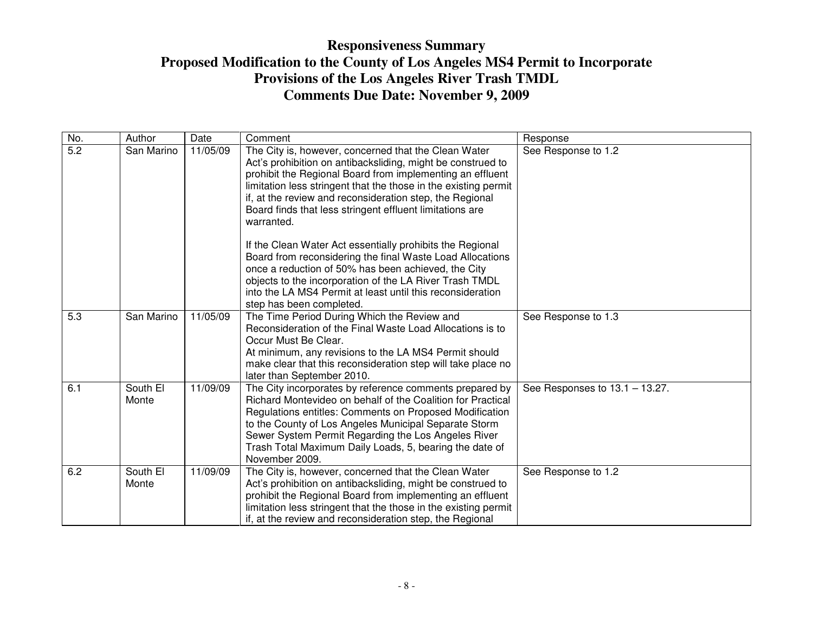| No. | Author            | Date     | Comment                                                                                                                                                                                                                                                                                                                                                                                   | Response                          |
|-----|-------------------|----------|-------------------------------------------------------------------------------------------------------------------------------------------------------------------------------------------------------------------------------------------------------------------------------------------------------------------------------------------------------------------------------------------|-----------------------------------|
| 5.2 | San Marino        | 11/05/09 | The City is, however, concerned that the Clean Water<br>Act's prohibition on antibacksliding, might be construed to<br>prohibit the Regional Board from implementing an effluent<br>limitation less stringent that the those in the existing permit<br>if, at the review and reconsideration step, the Regional<br>Board finds that less stringent effluent limitations are<br>warranted. | See Response to 1.2               |
|     |                   |          | If the Clean Water Act essentially prohibits the Regional<br>Board from reconsidering the final Waste Load Allocations<br>once a reduction of 50% has been achieved, the City<br>objects to the incorporation of the LA River Trash TMDL<br>into the LA MS4 Permit at least until this reconsideration<br>step has been completed.                                                        |                                   |
| 5.3 | San Marino        | 11/05/09 | The Time Period During Which the Review and<br>Reconsideration of the Final Waste Load Allocations is to<br>Occur Must Be Clear.<br>At minimum, any revisions to the LA MS4 Permit should<br>make clear that this reconsideration step will take place no<br>later than September 2010.                                                                                                   | See Response to 1.3               |
| 6.1 | South El<br>Monte | 11/09/09 | The City incorporates by reference comments prepared by<br>Richard Montevideo on behalf of the Coalition for Practical<br>Regulations entitles: Comments on Proposed Modification<br>to the County of Los Angeles Municipal Separate Storm<br>Sewer System Permit Regarding the Los Angeles River<br>Trash Total Maximum Daily Loads, 5, bearing the date of<br>November 2009.            | See Responses to $13.1 - 13.27$ . |
| 6.2 | South El<br>Monte | 11/09/09 | The City is, however, concerned that the Clean Water<br>Act's prohibition on antibacksliding, might be construed to<br>prohibit the Regional Board from implementing an effluent<br>limitation less stringent that the those in the existing permit<br>if, at the review and reconsideration step, the Regional                                                                           | See Response to 1.2               |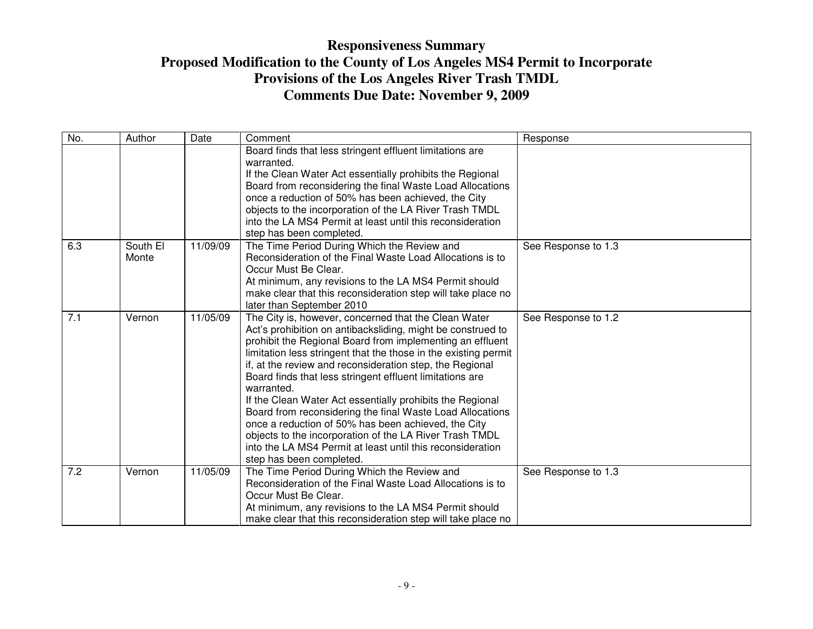| No. | Author   | Date     | Comment                                                         | Response            |
|-----|----------|----------|-----------------------------------------------------------------|---------------------|
|     |          |          | Board finds that less stringent effluent limitations are        |                     |
|     |          |          | warranted.                                                      |                     |
|     |          |          | If the Clean Water Act essentially prohibits the Regional       |                     |
|     |          |          | Board from reconsidering the final Waste Load Allocations       |                     |
|     |          |          | once a reduction of 50% has been achieved, the City             |                     |
|     |          |          | objects to the incorporation of the LA River Trash TMDL         |                     |
|     |          |          | into the LA MS4 Permit at least until this reconsideration      |                     |
|     |          |          | step has been completed.                                        |                     |
| 6.3 | South El | 11/09/09 | The Time Period During Which the Review and                     | See Response to 1.3 |
|     | Monte    |          | Reconsideration of the Final Waste Load Allocations is to       |                     |
|     |          |          | Occur Must Be Clear.                                            |                     |
|     |          |          | At minimum, any revisions to the LA MS4 Permit should           |                     |
|     |          |          | make clear that this reconsideration step will take place no    |                     |
|     |          |          | later than September 2010                                       |                     |
| 7.1 | Vernon   | 11/05/09 | The City is, however, concerned that the Clean Water            | See Response to 1.2 |
|     |          |          | Act's prohibition on antibacksliding, might be construed to     |                     |
|     |          |          | prohibit the Regional Board from implementing an effluent       |                     |
|     |          |          | limitation less stringent that the those in the existing permit |                     |
|     |          |          | if, at the review and reconsideration step, the Regional        |                     |
|     |          |          | Board finds that less stringent effluent limitations are        |                     |
|     |          |          | warranted.                                                      |                     |
|     |          |          | If the Clean Water Act essentially prohibits the Regional       |                     |
|     |          |          | Board from reconsidering the final Waste Load Allocations       |                     |
|     |          |          | once a reduction of 50% has been achieved, the City             |                     |
|     |          |          | objects to the incorporation of the LA River Trash TMDL         |                     |
|     |          |          | into the LA MS4 Permit at least until this reconsideration      |                     |
|     |          |          | step has been completed.                                        |                     |
| 7.2 | Vernon   | 11/05/09 | The Time Period During Which the Review and                     | See Response to 1.3 |
|     |          |          | Reconsideration of the Final Waste Load Allocations is to       |                     |
|     |          |          | Occur Must Be Clear.                                            |                     |
|     |          |          | At minimum, any revisions to the LA MS4 Permit should           |                     |
|     |          |          | make clear that this reconsideration step will take place no    |                     |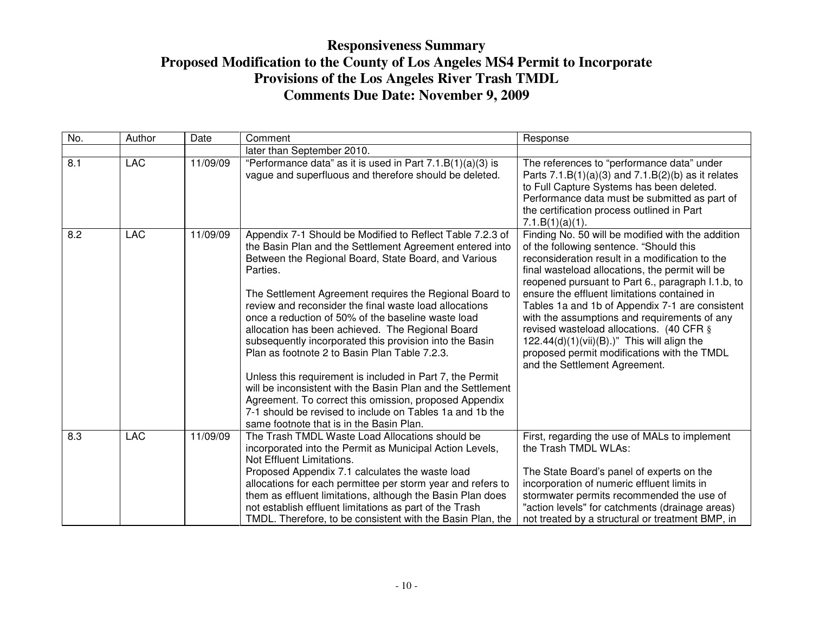| No. | Author     | Date     | Comment                                                                                                                                                                                                                                                                                                                                                                                                                                                                                                                              | Response                                                                                                                                                                                                                                                                                                                                                                                                                                                                                                                                                                                |
|-----|------------|----------|--------------------------------------------------------------------------------------------------------------------------------------------------------------------------------------------------------------------------------------------------------------------------------------------------------------------------------------------------------------------------------------------------------------------------------------------------------------------------------------------------------------------------------------|-----------------------------------------------------------------------------------------------------------------------------------------------------------------------------------------------------------------------------------------------------------------------------------------------------------------------------------------------------------------------------------------------------------------------------------------------------------------------------------------------------------------------------------------------------------------------------------------|
|     |            |          | later than September 2010.                                                                                                                                                                                                                                                                                                                                                                                                                                                                                                           |                                                                                                                                                                                                                                                                                                                                                                                                                                                                                                                                                                                         |
| 8.1 | <b>LAC</b> | 11/09/09 | "Performance data" as it is used in Part $7.1.B(1)(a)(3)$ is<br>vague and superfluous and therefore should be deleted.                                                                                                                                                                                                                                                                                                                                                                                                               | The references to "performance data" under<br>Parts $7.1.B(1)(a)(3)$ and $7.1.B(2)(b)$ as it relates<br>to Full Capture Systems has been deleted.<br>Performance data must be submitted as part of<br>the certification process outlined in Part<br>7.1.B(1)(a)(1).                                                                                                                                                                                                                                                                                                                     |
| 8.2 | <b>LAC</b> | 11/09/09 | Appendix 7-1 Should be Modified to Reflect Table 7.2.3 of<br>the Basin Plan and the Settlement Agreement entered into<br>Between the Regional Board, State Board, and Various<br>Parties.<br>The Settlement Agreement requires the Regional Board to<br>review and reconsider the final waste load allocations<br>once a reduction of 50% of the baseline waste load<br>allocation has been achieved. The Regional Board<br>subsequently incorporated this provision into the Basin<br>Plan as footnote 2 to Basin Plan Table 7.2.3. | Finding No. 50 will be modified with the addition<br>of the following sentence. "Should this<br>reconsideration result in a modification to the<br>final wasteload allocations, the permit will be<br>reopened pursuant to Part 6., paragraph I.1.b, to<br>ensure the effluent limitations contained in<br>Tables 1a and 1b of Appendix 7-1 are consistent<br>with the assumptions and requirements of any<br>revised wasteload allocations. (40 CFR §<br>$122.44(d)(1)(vii)(B).$ " This will align the<br>proposed permit modifications with the TMDL<br>and the Settlement Agreement. |
|     |            |          | Unless this requirement is included in Part 7, the Permit<br>will be inconsistent with the Basin Plan and the Settlement<br>Agreement. To correct this omission, proposed Appendix<br>7-1 should be revised to include on Tables 1a and 1b the<br>same footnote that is in the Basin Plan.                                                                                                                                                                                                                                           |                                                                                                                                                                                                                                                                                                                                                                                                                                                                                                                                                                                         |
| 8.3 | <b>LAC</b> | 11/09/09 | The Trash TMDL Waste Load Allocations should be<br>incorporated into the Permit as Municipal Action Levels,<br>Not Effluent Limitations.<br>Proposed Appendix 7.1 calculates the waste load<br>allocations for each permittee per storm year and refers to<br>them as effluent limitations, although the Basin Plan does<br>not establish effluent limitations as part of the Trash<br>TMDL. Therefore, to be consistent with the Basin Plan, the                                                                                    | First, regarding the use of MALs to implement<br>the Trash TMDL WLAs:<br>The State Board's panel of experts on the<br>incorporation of numeric effluent limits in<br>stormwater permits recommended the use of<br>"action levels" for catchments (drainage areas)<br>not treated by a structural or treatment BMP, in                                                                                                                                                                                                                                                                   |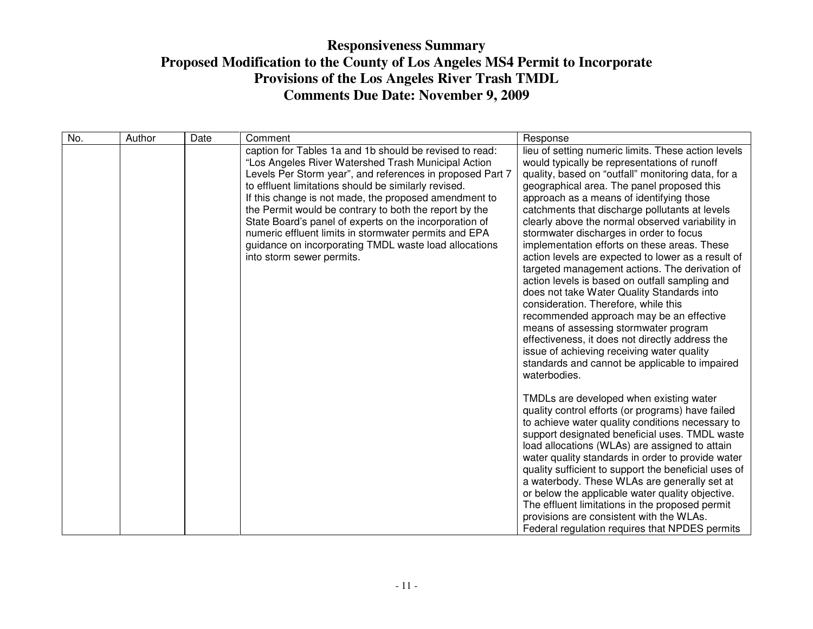| No. | Author | Date | Comment                                                                                                                                                                                                                                                                                                                                                                                                                                                                                                                                                         | Response                                                                                                                                                                                                                                                                                                                                                                                                                                                                                                                                                                                                                                                                                                                                                                                                                                                                                                                                                     |
|-----|--------|------|-----------------------------------------------------------------------------------------------------------------------------------------------------------------------------------------------------------------------------------------------------------------------------------------------------------------------------------------------------------------------------------------------------------------------------------------------------------------------------------------------------------------------------------------------------------------|--------------------------------------------------------------------------------------------------------------------------------------------------------------------------------------------------------------------------------------------------------------------------------------------------------------------------------------------------------------------------------------------------------------------------------------------------------------------------------------------------------------------------------------------------------------------------------------------------------------------------------------------------------------------------------------------------------------------------------------------------------------------------------------------------------------------------------------------------------------------------------------------------------------------------------------------------------------|
|     |        |      | caption for Tables 1a and 1b should be revised to read:<br>"Los Angeles River Watershed Trash Municipal Action<br>Levels Per Storm year", and references in proposed Part 7<br>to effluent limitations should be similarly revised.<br>If this change is not made, the proposed amendment to<br>the Permit would be contrary to both the report by the<br>State Board's panel of experts on the incorporation of<br>numeric effluent limits in stormwater permits and EPA<br>guidance on incorporating TMDL waste load allocations<br>into storm sewer permits. | lieu of setting numeric limits. These action levels<br>would typically be representations of runoff<br>quality, based on "outfall" monitoring data, for a<br>geographical area. The panel proposed this<br>approach as a means of identifying those<br>catchments that discharge pollutants at levels<br>clearly above the normal observed variability in<br>stormwater discharges in order to focus<br>implementation efforts on these areas. These<br>action levels are expected to lower as a result of<br>targeted management actions. The derivation of<br>action levels is based on outfall sampling and<br>does not take Water Quality Standards into<br>consideration. Therefore, while this<br>recommended approach may be an effective<br>means of assessing stormwater program<br>effectiveness, it does not directly address the<br>issue of achieving receiving water quality<br>standards and cannot be applicable to impaired<br>waterbodies. |
|     |        |      |                                                                                                                                                                                                                                                                                                                                                                                                                                                                                                                                                                 | TMDLs are developed when existing water<br>quality control efforts (or programs) have failed<br>to achieve water quality conditions necessary to<br>support designated beneficial uses. TMDL waste<br>load allocations (WLAs) are assigned to attain<br>water quality standards in order to provide water<br>quality sufficient to support the beneficial uses of<br>a waterbody. These WLAs are generally set at<br>or below the applicable water quality objective.<br>The effluent limitations in the proposed permit<br>provisions are consistent with the WLAs.<br>Federal regulation requires that NPDES permits                                                                                                                                                                                                                                                                                                                                       |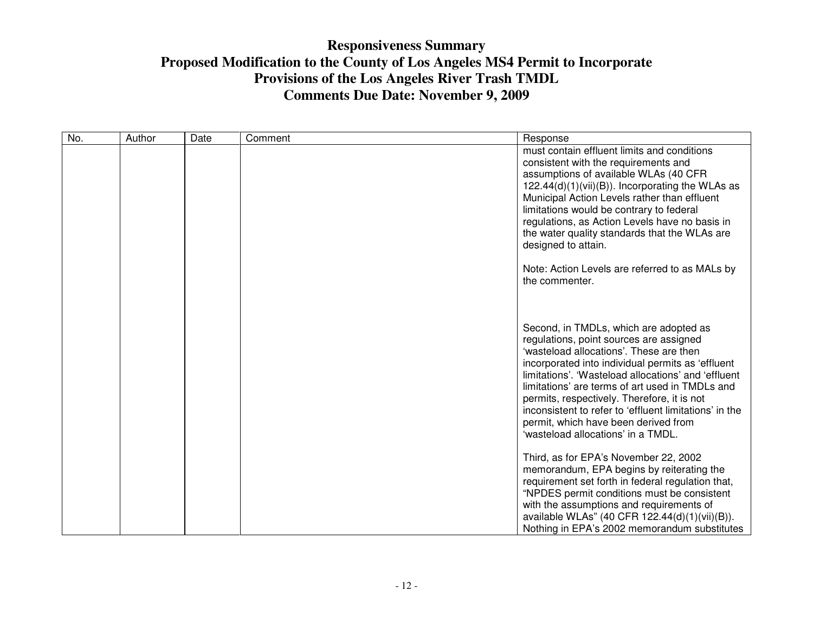| No. | Author | Date | Comment | Response                                                                                                                                                                                                                                                                                                                                                                                                                                                                           |
|-----|--------|------|---------|------------------------------------------------------------------------------------------------------------------------------------------------------------------------------------------------------------------------------------------------------------------------------------------------------------------------------------------------------------------------------------------------------------------------------------------------------------------------------------|
|     |        |      |         | must contain effluent limits and conditions<br>consistent with the requirements and<br>assumptions of available WLAs (40 CFR<br>122.44(d)(1)(vii)(B)). Incorporating the WLAs as<br>Municipal Action Levels rather than effluent<br>limitations would be contrary to federal<br>regulations, as Action Levels have no basis in<br>the water quality standards that the WLAs are<br>designed to attain.                                                                             |
|     |        |      |         | Note: Action Levels are referred to as MALs by<br>the commenter.                                                                                                                                                                                                                                                                                                                                                                                                                   |
|     |        |      |         | Second, in TMDLs, which are adopted as<br>regulations, point sources are assigned<br>'wasteload allocations'. These are then<br>incorporated into individual permits as 'effluent<br>limitations'. 'Wasteload allocations' and 'effluent<br>limitations' are terms of art used in TMDLs and<br>permits, respectively. Therefore, it is not<br>inconsistent to refer to 'effluent limitations' in the<br>permit, which have been derived from<br>'wasteload allocations' in a TMDL. |
|     |        |      |         | Third, as for EPA's November 22, 2002<br>memorandum, EPA begins by reiterating the<br>requirement set forth in federal regulation that,<br>"NPDES permit conditions must be consistent<br>with the assumptions and requirements of<br>available WLAs" (40 CFR 122.44(d)(1)(vii)(B)).<br>Nothing in EPA's 2002 memorandum substitutes                                                                                                                                               |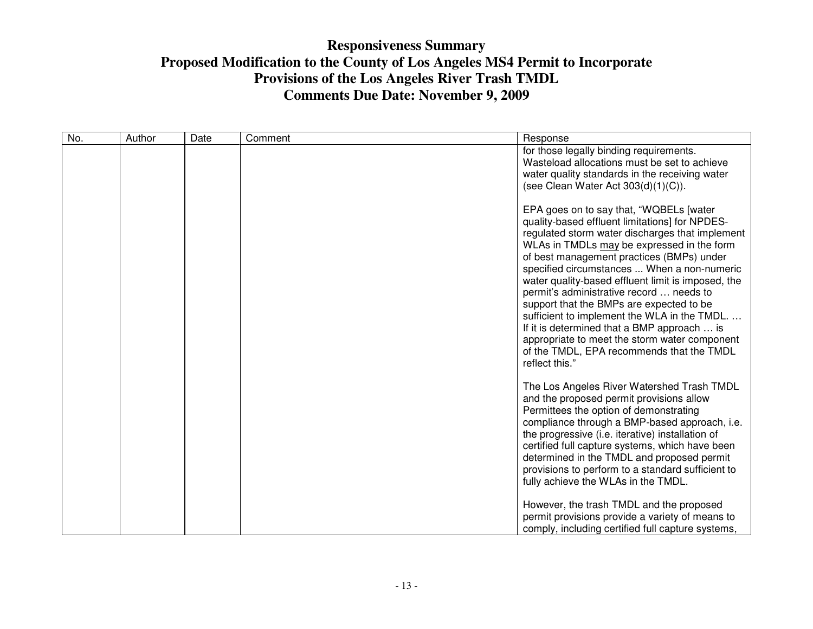| No. | Author | Date | Comment | Response                                                                                                                                                                                                                                                                                                                                                                                                                                                                                                                                                                                                                                            |
|-----|--------|------|---------|-----------------------------------------------------------------------------------------------------------------------------------------------------------------------------------------------------------------------------------------------------------------------------------------------------------------------------------------------------------------------------------------------------------------------------------------------------------------------------------------------------------------------------------------------------------------------------------------------------------------------------------------------------|
|     |        |      |         | for those legally binding requirements.<br>Wasteload allocations must be set to achieve<br>water quality standards in the receiving water<br>(see Clean Water Act $303(d)(1)(C)$ ).                                                                                                                                                                                                                                                                                                                                                                                                                                                                 |
|     |        |      |         | EPA goes on to say that, "WQBELs [water<br>quality-based effluent limitations] for NPDES-<br>regulated storm water discharges that implement<br>WLAs in TMDLs may be expressed in the form<br>of best management practices (BMPs) under<br>specified circumstances  When a non-numeric<br>water quality-based effluent limit is imposed, the<br>permit's administrative record  needs to<br>support that the BMPs are expected to be<br>sufficient to implement the WLA in the TMDL.<br>If it is determined that a BMP approach  is<br>appropriate to meet the storm water component<br>of the TMDL, EPA recommends that the TMDL<br>reflect this." |
|     |        |      |         | The Los Angeles River Watershed Trash TMDL<br>and the proposed permit provisions allow<br>Permittees the option of demonstrating<br>compliance through a BMP-based approach, i.e.<br>the progressive (i.e. iterative) installation of<br>certified full capture systems, which have been<br>determined in the TMDL and proposed permit<br>provisions to perform to a standard sufficient to<br>fully achieve the WLAs in the TMDL.                                                                                                                                                                                                                  |
|     |        |      |         | However, the trash TMDL and the proposed<br>permit provisions provide a variety of means to<br>comply, including certified full capture systems,                                                                                                                                                                                                                                                                                                                                                                                                                                                                                                    |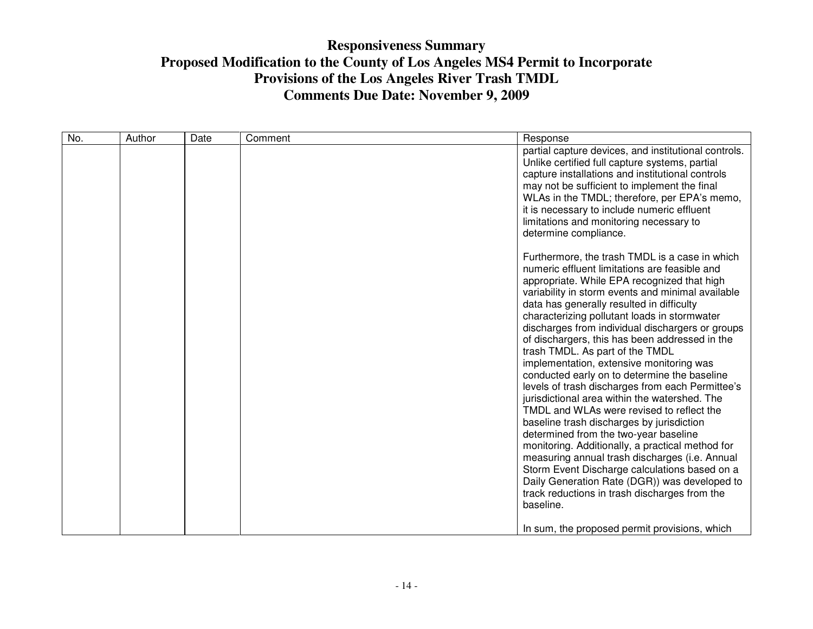| No. | Author | Date | Comment | Response                                                                                                                                                                                                                                                                                                                                                                                                                                                                                                                                                                                                                                                                                                                                                                                                                                                                                                                                                                                                                                            |
|-----|--------|------|---------|-----------------------------------------------------------------------------------------------------------------------------------------------------------------------------------------------------------------------------------------------------------------------------------------------------------------------------------------------------------------------------------------------------------------------------------------------------------------------------------------------------------------------------------------------------------------------------------------------------------------------------------------------------------------------------------------------------------------------------------------------------------------------------------------------------------------------------------------------------------------------------------------------------------------------------------------------------------------------------------------------------------------------------------------------------|
|     |        |      |         | partial capture devices, and institutional controls.<br>Unlike certified full capture systems, partial<br>capture installations and institutional controls<br>may not be sufficient to implement the final<br>WLAs in the TMDL; therefore, per EPA's memo,<br>it is necessary to include numeric effluent<br>limitations and monitoring necessary to<br>determine compliance.                                                                                                                                                                                                                                                                                                                                                                                                                                                                                                                                                                                                                                                                       |
|     |        |      |         | Furthermore, the trash TMDL is a case in which<br>numeric effluent limitations are feasible and<br>appropriate. While EPA recognized that high<br>variability in storm events and minimal available<br>data has generally resulted in difficulty<br>characterizing pollutant loads in stormwater<br>discharges from individual dischargers or groups<br>of dischargers, this has been addressed in the<br>trash TMDL. As part of the TMDL<br>implementation, extensive monitoring was<br>conducted early on to determine the baseline<br>levels of trash discharges from each Permittee's<br>jurisdictional area within the watershed. The<br>TMDL and WLAs were revised to reflect the<br>baseline trash discharges by jurisdiction<br>determined from the two-year baseline<br>monitoring. Additionally, a practical method for<br>measuring annual trash discharges (i.e. Annual<br>Storm Event Discharge calculations based on a<br>Daily Generation Rate (DGR)) was developed to<br>track reductions in trash discharges from the<br>baseline. |
|     |        |      |         | In sum, the proposed permit provisions, which                                                                                                                                                                                                                                                                                                                                                                                                                                                                                                                                                                                                                                                                                                                                                                                                                                                                                                                                                                                                       |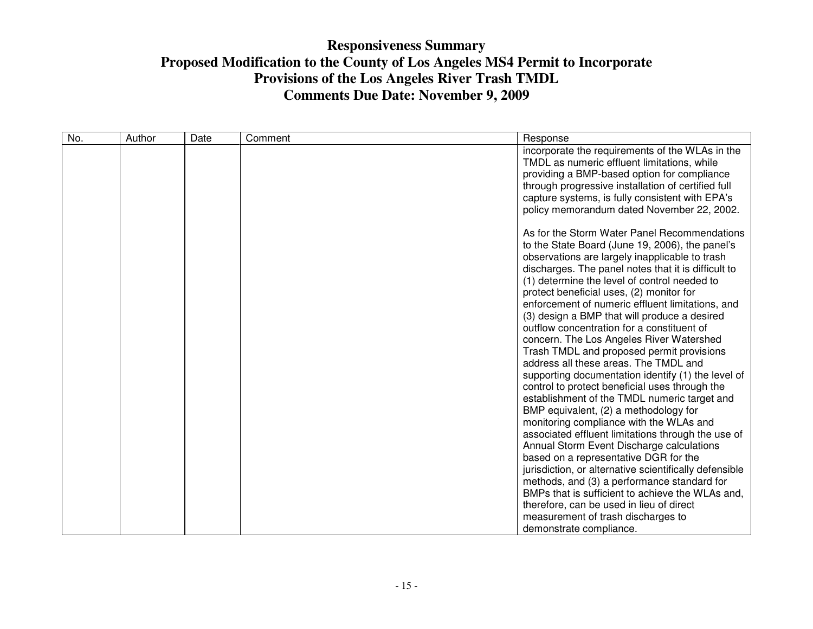| No. | Author | Date | Comment | Response                                                                                                                                                                                                                                                                                                                                                                                                                                                                                                                                                                                                                                                                                                                                                                                                                                                                                                                                                                                                                                   |
|-----|--------|------|---------|--------------------------------------------------------------------------------------------------------------------------------------------------------------------------------------------------------------------------------------------------------------------------------------------------------------------------------------------------------------------------------------------------------------------------------------------------------------------------------------------------------------------------------------------------------------------------------------------------------------------------------------------------------------------------------------------------------------------------------------------------------------------------------------------------------------------------------------------------------------------------------------------------------------------------------------------------------------------------------------------------------------------------------------------|
|     |        |      |         | incorporate the requirements of the WLAs in the<br>TMDL as numeric effluent limitations, while<br>providing a BMP-based option for compliance<br>through progressive installation of certified full<br>capture systems, is fully consistent with EPA's<br>policy memorandum dated November 22, 2002.                                                                                                                                                                                                                                                                                                                                                                                                                                                                                                                                                                                                                                                                                                                                       |
|     |        |      |         | As for the Storm Water Panel Recommendations<br>to the State Board (June 19, 2006), the panel's<br>observations are largely inapplicable to trash<br>discharges. The panel notes that it is difficult to<br>(1) determine the level of control needed to<br>protect beneficial uses, (2) monitor for<br>enforcement of numeric effluent limitations, and<br>(3) design a BMP that will produce a desired<br>outflow concentration for a constituent of<br>concern. The Los Angeles River Watershed<br>Trash TMDL and proposed permit provisions<br>address all these areas. The TMDL and<br>supporting documentation identify (1) the level of<br>control to protect beneficial uses through the<br>establishment of the TMDL numeric target and<br>BMP equivalent, (2) a methodology for<br>monitoring compliance with the WLAs and<br>associated effluent limitations through the use of<br>Annual Storm Event Discharge calculations<br>based on a representative DGR for the<br>jurisdiction, or alternative scientifically defensible |
|     |        |      |         | methods, and (3) a performance standard for<br>BMPs that is sufficient to achieve the WLAs and,<br>therefore, can be used in lieu of direct<br>measurement of trash discharges to<br>demonstrate compliance.                                                                                                                                                                                                                                                                                                                                                                                                                                                                                                                                                                                                                                                                                                                                                                                                                               |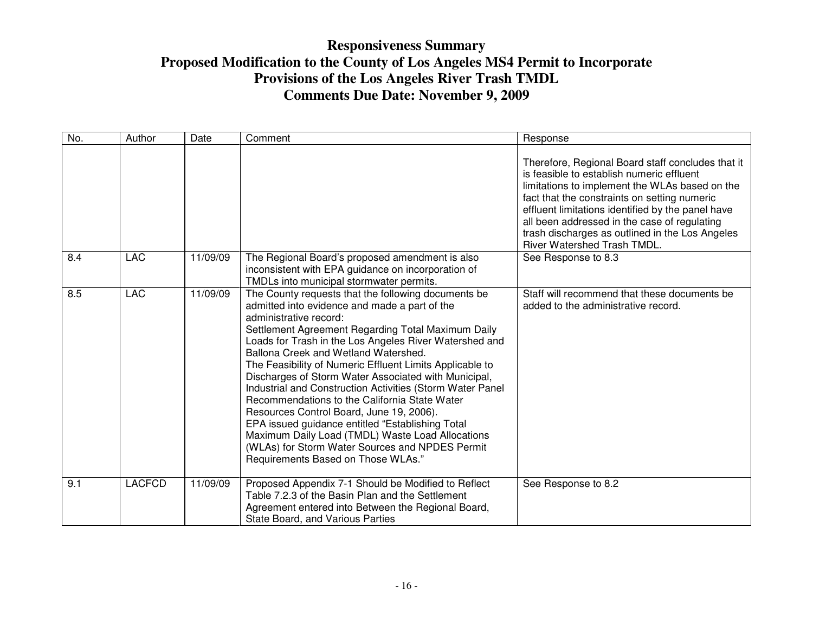| No. | Author        | Date     | Comment                                                                                                                                                                                                                                                                                                                                                                                                                                                                                                                                                                                                                                                                                                                                                               | Response                                                                                                                                                                                                                                                                                                                                                                                       |
|-----|---------------|----------|-----------------------------------------------------------------------------------------------------------------------------------------------------------------------------------------------------------------------------------------------------------------------------------------------------------------------------------------------------------------------------------------------------------------------------------------------------------------------------------------------------------------------------------------------------------------------------------------------------------------------------------------------------------------------------------------------------------------------------------------------------------------------|------------------------------------------------------------------------------------------------------------------------------------------------------------------------------------------------------------------------------------------------------------------------------------------------------------------------------------------------------------------------------------------------|
|     |               |          |                                                                                                                                                                                                                                                                                                                                                                                                                                                                                                                                                                                                                                                                                                                                                                       | Therefore, Regional Board staff concludes that it<br>is feasible to establish numeric effluent<br>limitations to implement the WLAs based on the<br>fact that the constraints on setting numeric<br>effluent limitations identified by the panel have<br>all been addressed in the case of regulating<br>trash discharges as outlined in the Los Angeles<br><b>River Watershed Trash TMDL.</b> |
| 8.4 | <b>LAC</b>    | 11/09/09 | The Regional Board's proposed amendment is also<br>inconsistent with EPA guidance on incorporation of<br>TMDLs into municipal stormwater permits.                                                                                                                                                                                                                                                                                                                                                                                                                                                                                                                                                                                                                     | See Response to 8.3                                                                                                                                                                                                                                                                                                                                                                            |
| 8.5 | <b>LAC</b>    | 11/09/09 | The County requests that the following documents be<br>admitted into evidence and made a part of the<br>administrative record:<br>Settlement Agreement Regarding Total Maximum Daily<br>Loads for Trash in the Los Angeles River Watershed and<br>Ballona Creek and Wetland Watershed.<br>The Feasibility of Numeric Effluent Limits Applicable to<br>Discharges of Storm Water Associated with Municipal,<br>Industrial and Construction Activities (Storm Water Panel<br>Recommendations to the California State Water<br>Resources Control Board, June 19, 2006).<br>EPA issued guidance entitled "Establishing Total<br>Maximum Daily Load (TMDL) Waste Load Allocations<br>(WLAs) for Storm Water Sources and NPDES Permit<br>Requirements Based on Those WLAs." | Staff will recommend that these documents be<br>added to the administrative record.                                                                                                                                                                                                                                                                                                            |
| 9.1 | <b>LACFCD</b> | 11/09/09 | Proposed Appendix 7-1 Should be Modified to Reflect<br>Table 7.2.3 of the Basin Plan and the Settlement<br>Agreement entered into Between the Regional Board,<br>State Board, and Various Parties                                                                                                                                                                                                                                                                                                                                                                                                                                                                                                                                                                     | See Response to 8.2                                                                                                                                                                                                                                                                                                                                                                            |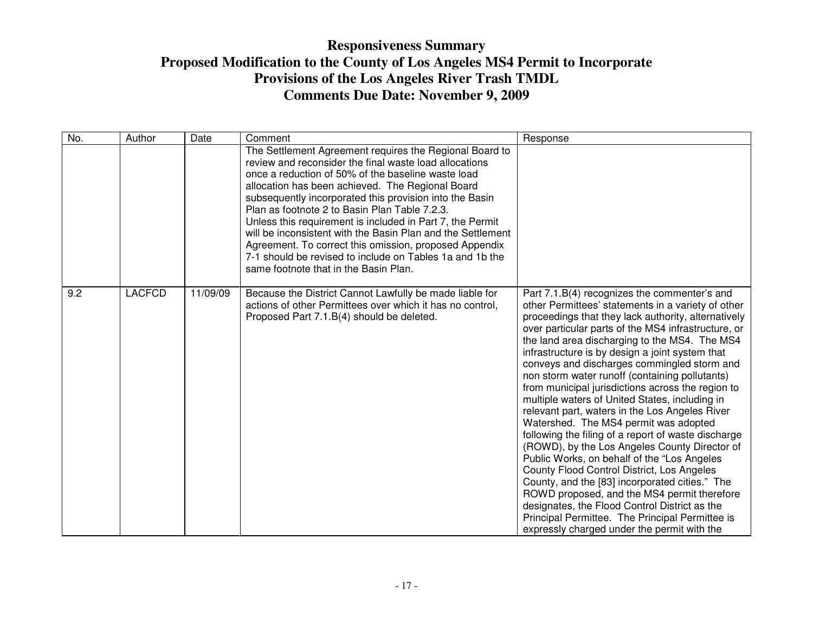| No. | Author        | Date     | Comment                                                                                                                                                                                                                                                                                                                                                                                                                                                                                                                                                                                                                            | Response                                                                                                                                                                                                                                                                                                                                                                                                                                                                                                                                                                                                                                                                                                                                                                                                                                                                                                                                                                                                                                                                         |
|-----|---------------|----------|------------------------------------------------------------------------------------------------------------------------------------------------------------------------------------------------------------------------------------------------------------------------------------------------------------------------------------------------------------------------------------------------------------------------------------------------------------------------------------------------------------------------------------------------------------------------------------------------------------------------------------|----------------------------------------------------------------------------------------------------------------------------------------------------------------------------------------------------------------------------------------------------------------------------------------------------------------------------------------------------------------------------------------------------------------------------------------------------------------------------------------------------------------------------------------------------------------------------------------------------------------------------------------------------------------------------------------------------------------------------------------------------------------------------------------------------------------------------------------------------------------------------------------------------------------------------------------------------------------------------------------------------------------------------------------------------------------------------------|
|     |               |          | The Settlement Agreement requires the Regional Board to<br>review and reconsider the final waste load allocations<br>once a reduction of 50% of the baseline waste load<br>allocation has been achieved. The Regional Board<br>subsequently incorporated this provision into the Basin<br>Plan as footnote 2 to Basin Plan Table 7.2.3.<br>Unless this requirement is included in Part 7, the Permit<br>will be inconsistent with the Basin Plan and the Settlement<br>Agreement. To correct this omission, proposed Appendix<br>7-1 should be revised to include on Tables 1a and 1b the<br>same footnote that in the Basin Plan. |                                                                                                                                                                                                                                                                                                                                                                                                                                                                                                                                                                                                                                                                                                                                                                                                                                                                                                                                                                                                                                                                                  |
| 9.2 | <b>LACFCD</b> | 11/09/09 | Because the District Cannot Lawfully be made liable for<br>actions of other Permittees over which it has no control,<br>Proposed Part 7.1.B(4) should be deleted.                                                                                                                                                                                                                                                                                                                                                                                                                                                                  | Part 7.1.B(4) recognizes the commenter's and<br>other Permittees' statements in a variety of other<br>proceedings that they lack authority, alternatively<br>over particular parts of the MS4 infrastructure, or<br>the land area discharging to the MS4. The MS4<br>infrastructure is by design a joint system that<br>conveys and discharges commingled storm and<br>non storm water runoff (containing pollutants)<br>from municipal jurisdictions across the region to<br>multiple waters of United States, including in<br>relevant part, waters in the Los Angeles River<br>Watershed. The MS4 permit was adopted<br>following the filing of a report of waste discharge<br>(ROWD), by the Los Angeles County Director of<br>Public Works, on behalf of the "Los Angeles<br>County Flood Control District, Los Angeles<br>County, and the [83] incorporated cities." The<br>ROWD proposed, and the MS4 permit therefore<br>designates, the Flood Control District as the<br>Principal Permittee. The Principal Permittee is<br>expressly charged under the permit with the |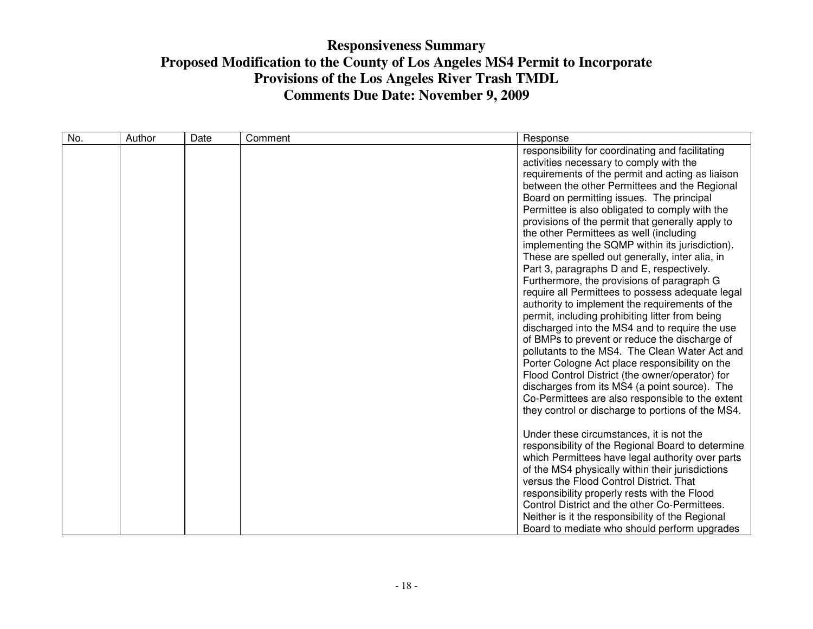|  | responsibility for coordinating and facilitating<br>activities necessary to comply with the<br>requirements of the permit and acting as liaison<br>between the other Permittees and the Regional<br>Board on permitting issues. The principal                                                                                                                                                                                                                                                                                                                                                                                                                                                                                                                                                                                                                                                                                                                                                                                                                                                                                                                                   |
|--|---------------------------------------------------------------------------------------------------------------------------------------------------------------------------------------------------------------------------------------------------------------------------------------------------------------------------------------------------------------------------------------------------------------------------------------------------------------------------------------------------------------------------------------------------------------------------------------------------------------------------------------------------------------------------------------------------------------------------------------------------------------------------------------------------------------------------------------------------------------------------------------------------------------------------------------------------------------------------------------------------------------------------------------------------------------------------------------------------------------------------------------------------------------------------------|
|  | Permittee is also obligated to comply with the<br>provisions of the permit that generally apply to<br>the other Permittees as well (including<br>implementing the SQMP within its jurisdiction).<br>These are spelled out generally, inter alia, in<br>Part 3, paragraphs D and E, respectively.<br>Furthermore, the provisions of paragraph G<br>require all Permittees to possess adequate legal<br>authority to implement the requirements of the<br>permit, including prohibiting litter from being<br>discharged into the MS4 and to require the use<br>of BMPs to prevent or reduce the discharge of<br>pollutants to the MS4. The Clean Water Act and<br>Porter Cologne Act place responsibility on the<br>Flood Control District (the owner/operator) for<br>discharges from its MS4 (a point source). The<br>Co-Permittees are also responsible to the extent<br>they control or discharge to portions of the MS4.<br>Under these circumstances, it is not the<br>responsibility of the Regional Board to determine<br>which Permittees have legal authority over parts<br>of the MS4 physically within their jurisdictions<br>versus the Flood Control District. That |
|  | responsibility properly rests with the Flood<br>Control District and the other Co-Permittees.<br>Neither is it the responsibility of the Regional                                                                                                                                                                                                                                                                                                                                                                                                                                                                                                                                                                                                                                                                                                                                                                                                                                                                                                                                                                                                                               |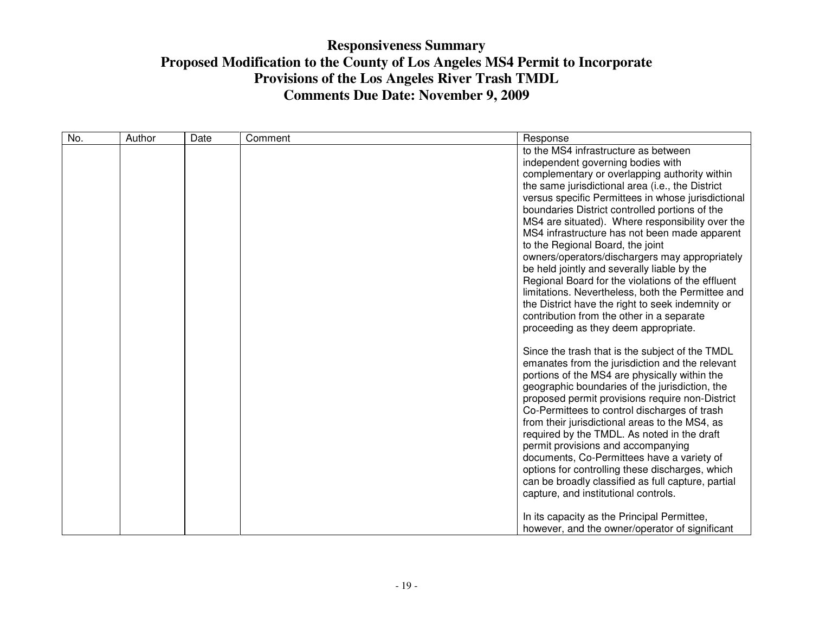| No. | Author | Date | Comment | Response                                                                          |
|-----|--------|------|---------|-----------------------------------------------------------------------------------|
|     |        |      |         | to the MS4 infrastructure as between                                              |
|     |        |      |         | independent governing bodies with                                                 |
|     |        |      |         | complementary or overlapping authority within                                     |
|     |        |      |         | the same jurisdictional area (i.e., the District                                  |
|     |        |      |         | versus specific Permittees in whose jurisdictional                                |
|     |        |      |         | boundaries District controlled portions of the                                    |
|     |        |      |         | MS4 are situated). Where responsibility over the                                  |
|     |        |      |         | MS4 infrastructure has not been made apparent                                     |
|     |        |      |         | to the Regional Board, the joint                                                  |
|     |        |      |         | owners/operators/dischargers may appropriately                                    |
|     |        |      |         | be held jointly and severally liable by the                                       |
|     |        |      |         | Regional Board for the violations of the effluent                                 |
|     |        |      |         | limitations. Nevertheless, both the Permittee and                                 |
|     |        |      |         | the District have the right to seek indemnity or                                  |
|     |        |      |         | contribution from the other in a separate<br>proceeding as they deem appropriate. |
|     |        |      |         |                                                                                   |
|     |        |      |         | Since the trash that is the subject of the TMDL                                   |
|     |        |      |         | emanates from the jurisdiction and the relevant                                   |
|     |        |      |         | portions of the MS4 are physically within the                                     |
|     |        |      |         | geographic boundaries of the jurisdiction, the                                    |
|     |        |      |         | proposed permit provisions require non-District                                   |
|     |        |      |         | Co-Permittees to control discharges of trash                                      |
|     |        |      |         | from their jurisdictional areas to the MS4, as                                    |
|     |        |      |         | required by the TMDL. As noted in the draft                                       |
|     |        |      |         | permit provisions and accompanying                                                |
|     |        |      |         | documents, Co-Permittees have a variety of                                        |
|     |        |      |         | options for controlling these discharges, which                                   |
|     |        |      |         | can be broadly classified as full capture, partial                                |
|     |        |      |         | capture, and institutional controls.                                              |
|     |        |      |         | In its capacity as the Principal Permittee,                                       |
|     |        |      |         | however, and the owner/operator of significant                                    |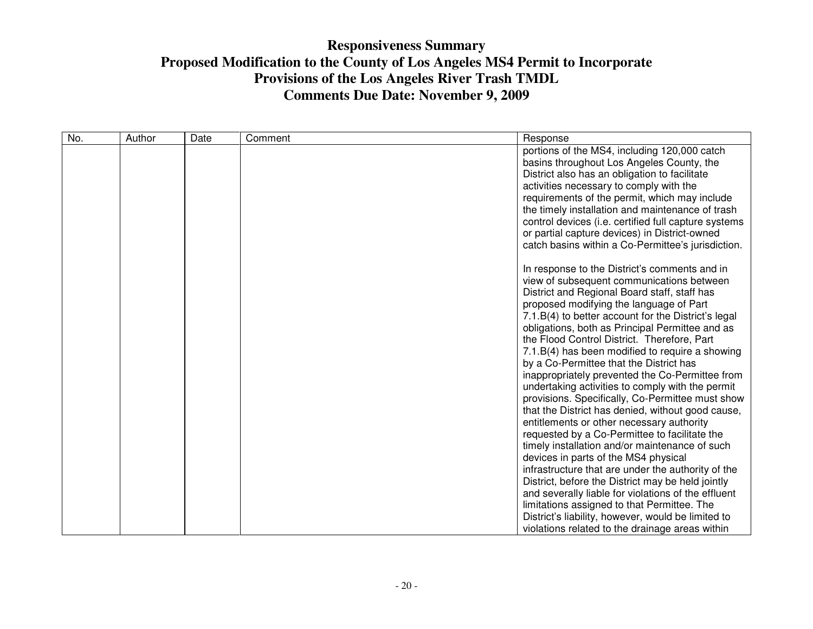| No. | Author | Date | Comment | Response                                                                                                                                                                                                                                                                                                                                                                                                                                                                                                                                                                                                                                                                                                                                                                                                                                                                                                   |
|-----|--------|------|---------|------------------------------------------------------------------------------------------------------------------------------------------------------------------------------------------------------------------------------------------------------------------------------------------------------------------------------------------------------------------------------------------------------------------------------------------------------------------------------------------------------------------------------------------------------------------------------------------------------------------------------------------------------------------------------------------------------------------------------------------------------------------------------------------------------------------------------------------------------------------------------------------------------------|
|     |        |      |         | portions of the MS4, including 120,000 catch<br>basins throughout Los Angeles County, the<br>District also has an obligation to facilitate<br>activities necessary to comply with the<br>requirements of the permit, which may include<br>the timely installation and maintenance of trash<br>control devices (i.e. certified full capture systems<br>or partial capture devices) in District-owned<br>catch basins within a Co-Permittee's jurisdiction.                                                                                                                                                                                                                                                                                                                                                                                                                                                  |
|     |        |      |         | In response to the District's comments and in<br>view of subsequent communications between<br>District and Regional Board staff, staff has<br>proposed modifying the language of Part<br>7.1.B(4) to better account for the District's legal<br>obligations, both as Principal Permittee and as<br>the Flood Control District. Therefore, Part<br>7.1.B(4) has been modified to require a showing<br>by a Co-Permittee that the District has<br>inappropriately prevented the Co-Permittee from<br>undertaking activities to comply with the permit<br>provisions. Specifically, Co-Permittee must show<br>that the District has denied, without good cause,<br>entitlements or other necessary authority<br>requested by a Co-Permittee to facilitate the<br>timely installation and/or maintenance of such<br>devices in parts of the MS4 physical<br>infrastructure that are under the authority of the |
|     |        |      |         | District, before the District may be held jointly<br>and severally liable for violations of the effluent<br>limitations assigned to that Permittee. The<br>District's liability, however, would be limited to<br>violations related to the drainage areas within                                                                                                                                                                                                                                                                                                                                                                                                                                                                                                                                                                                                                                           |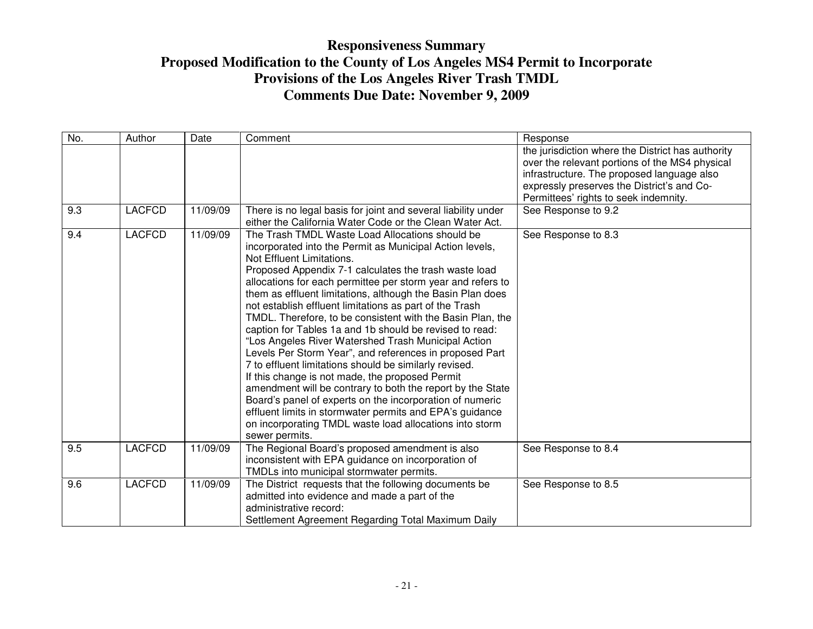| No.              | Author        | Date     | Comment                                                                                                                                                                                                                                                                                                                                                                                                                                                                                                                                                                                                                                                                                                                                                                                                                                                                                                                                                                                                              | Response                                                                                                                                                                                                                                 |
|------------------|---------------|----------|----------------------------------------------------------------------------------------------------------------------------------------------------------------------------------------------------------------------------------------------------------------------------------------------------------------------------------------------------------------------------------------------------------------------------------------------------------------------------------------------------------------------------------------------------------------------------------------------------------------------------------------------------------------------------------------------------------------------------------------------------------------------------------------------------------------------------------------------------------------------------------------------------------------------------------------------------------------------------------------------------------------------|------------------------------------------------------------------------------------------------------------------------------------------------------------------------------------------------------------------------------------------|
|                  |               |          |                                                                                                                                                                                                                                                                                                                                                                                                                                                                                                                                                                                                                                                                                                                                                                                                                                                                                                                                                                                                                      | the jurisdiction where the District has authority<br>over the relevant portions of the MS4 physical<br>infrastructure. The proposed language also<br>expressly preserves the District's and Co-<br>Permittees' rights to seek indemnity. |
| 9.3              | <b>LACFCD</b> | 11/09/09 | There is no legal basis for joint and several liability under<br>either the California Water Code or the Clean Water Act.                                                                                                                                                                                                                                                                                                                                                                                                                                                                                                                                                                                                                                                                                                                                                                                                                                                                                            | See Response to 9.2                                                                                                                                                                                                                      |
| 9.4              | <b>LACFCD</b> | 11/09/09 | The Trash TMDL Waste Load Allocations should be<br>incorporated into the Permit as Municipal Action levels,<br>Not Effluent Limitations.<br>Proposed Appendix 7-1 calculates the trash waste load<br>allocations for each permittee per storm year and refers to<br>them as effluent limitations, although the Basin Plan does<br>not establish effluent limitations as part of the Trash<br>TMDL. Therefore, to be consistent with the Basin Plan, the<br>caption for Tables 1a and 1b should be revised to read:<br>"Los Angeles River Watershed Trash Municipal Action<br>Levels Per Storm Year", and references in proposed Part<br>7 to effluent limitations should be similarly revised.<br>If this change is not made, the proposed Permit<br>amendment will be contrary to both the report by the State<br>Board's panel of experts on the incorporation of numeric<br>effluent limits in stormwater permits and EPA's guidance<br>on incorporating TMDL waste load allocations into storm<br>sewer permits. | See Response to 8.3                                                                                                                                                                                                                      |
| 9.5              | <b>LACFCD</b> | 11/09/09 | The Regional Board's proposed amendment is also<br>inconsistent with EPA guidance on incorporation of<br>TMDLs into municipal stormwater permits.                                                                                                                                                                                                                                                                                                                                                                                                                                                                                                                                                                                                                                                                                                                                                                                                                                                                    | See Response to 8.4                                                                                                                                                                                                                      |
| $9.\overline{6}$ | <b>LACFCD</b> | 11/09/09 | The District requests that the following documents be<br>admitted into evidence and made a part of the<br>administrative record:<br>Settlement Agreement Regarding Total Maximum Daily                                                                                                                                                                                                                                                                                                                                                                                                                                                                                                                                                                                                                                                                                                                                                                                                                               | See Response to 8.5                                                                                                                                                                                                                      |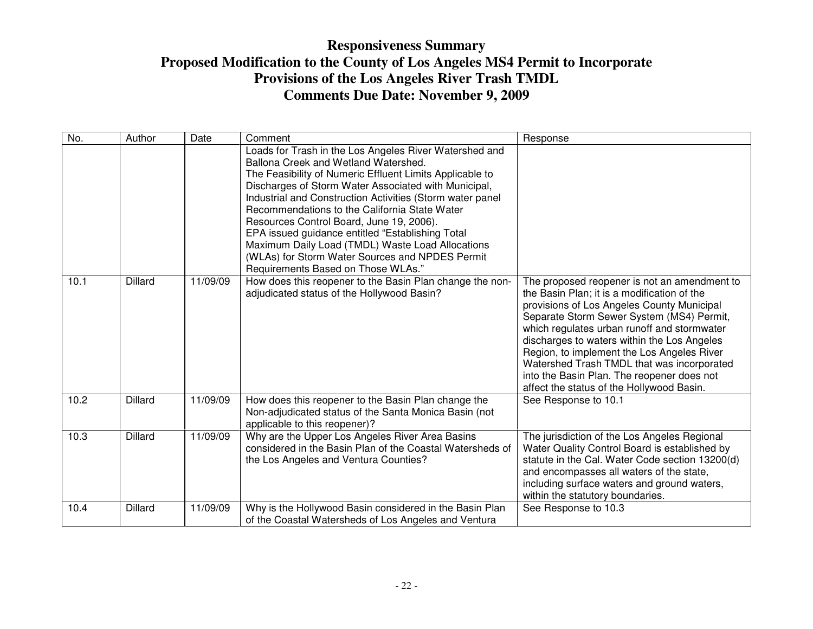| No.  | Author         | Date     | Comment                                                                                                                                                                                                                                                                                                                                                                                                                                                                                                                                                                       | Response                                                                                                                                                                                                                                                                                                                                                                                                                                                                    |
|------|----------------|----------|-------------------------------------------------------------------------------------------------------------------------------------------------------------------------------------------------------------------------------------------------------------------------------------------------------------------------------------------------------------------------------------------------------------------------------------------------------------------------------------------------------------------------------------------------------------------------------|-----------------------------------------------------------------------------------------------------------------------------------------------------------------------------------------------------------------------------------------------------------------------------------------------------------------------------------------------------------------------------------------------------------------------------------------------------------------------------|
|      |                |          | Loads for Trash in the Los Angeles River Watershed and<br>Ballona Creek and Wetland Watershed.<br>The Feasibility of Numeric Effluent Limits Applicable to<br>Discharges of Storm Water Associated with Municipal,<br>Industrial and Construction Activities (Storm water panel<br>Recommendations to the California State Water<br>Resources Control Board, June 19, 2006).<br>EPA issued guidance entitled "Establishing Total<br>Maximum Daily Load (TMDL) Waste Load Allocations<br>(WLAs) for Storm Water Sources and NPDES Permit<br>Requirements Based on Those WLAs." |                                                                                                                                                                                                                                                                                                                                                                                                                                                                             |
| 10.1 | <b>Dillard</b> | 11/09/09 | How does this reopener to the Basin Plan change the non-<br>adjudicated status of the Hollywood Basin?                                                                                                                                                                                                                                                                                                                                                                                                                                                                        | The proposed reopener is not an amendment to<br>the Basin Plan; it is a modification of the<br>provisions of Los Angeles County Municipal<br>Separate Storm Sewer System (MS4) Permit,<br>which regulates urban runoff and stormwater<br>discharges to waters within the Los Angeles<br>Region, to implement the Los Angeles River<br>Watershed Trash TMDL that was incorporated<br>into the Basin Plan. The reopener does not<br>affect the status of the Hollywood Basin. |
| 10.2 | <b>Dillard</b> | 11/09/09 | How does this reopener to the Basin Plan change the<br>Non-adjudicated status of the Santa Monica Basin (not<br>applicable to this reopener)?                                                                                                                                                                                                                                                                                                                                                                                                                                 | See Response to 10.1                                                                                                                                                                                                                                                                                                                                                                                                                                                        |
| 10.3 | <b>Dillard</b> | 11/09/09 | Why are the Upper Los Angeles River Area Basins<br>considered in the Basin Plan of the Coastal Watersheds of<br>the Los Angeles and Ventura Counties?                                                                                                                                                                                                                                                                                                                                                                                                                         | The jurisdiction of the Los Angeles Regional<br>Water Quality Control Board is established by<br>statute in the Cal. Water Code section 13200(d)<br>and encompasses all waters of the state,<br>including surface waters and ground waters,<br>within the statutory boundaries.                                                                                                                                                                                             |
| 10.4 | <b>Dillard</b> | 11/09/09 | Why is the Hollywood Basin considered in the Basin Plan<br>of the Coastal Watersheds of Los Angeles and Ventura                                                                                                                                                                                                                                                                                                                                                                                                                                                               | See Response to 10.3                                                                                                                                                                                                                                                                                                                                                                                                                                                        |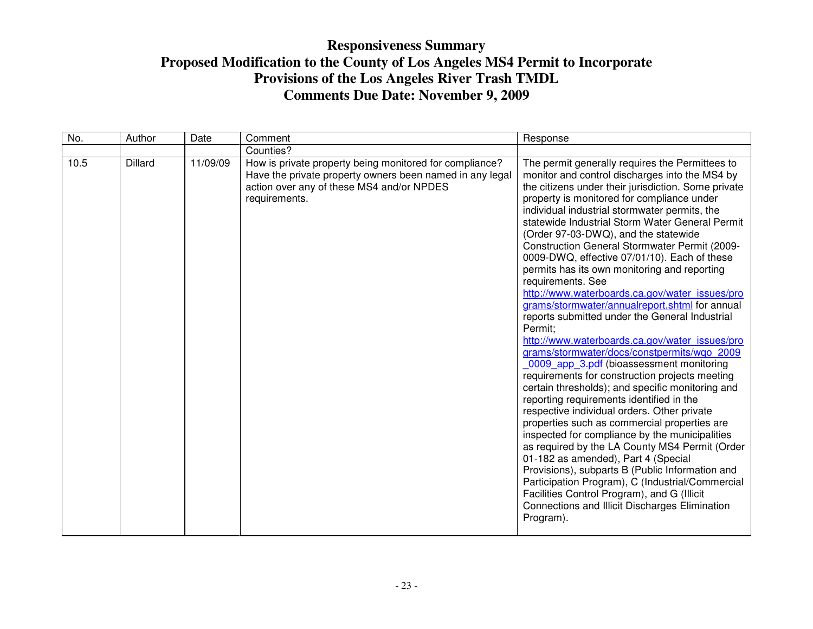| No.  | Author         | Date     | Comment                                                                                                                                                                           | Response                                                                                                                                                                                                                                                                                                                                                                                                                                                                                                                                                                                                                                                                                                                                                                                                                                                                                                                                                                                                                                                                                                                                                                                                                                                                                                                                                                                                                                                |
|------|----------------|----------|-----------------------------------------------------------------------------------------------------------------------------------------------------------------------------------|---------------------------------------------------------------------------------------------------------------------------------------------------------------------------------------------------------------------------------------------------------------------------------------------------------------------------------------------------------------------------------------------------------------------------------------------------------------------------------------------------------------------------------------------------------------------------------------------------------------------------------------------------------------------------------------------------------------------------------------------------------------------------------------------------------------------------------------------------------------------------------------------------------------------------------------------------------------------------------------------------------------------------------------------------------------------------------------------------------------------------------------------------------------------------------------------------------------------------------------------------------------------------------------------------------------------------------------------------------------------------------------------------------------------------------------------------------|
|      |                |          | Counties?                                                                                                                                                                         |                                                                                                                                                                                                                                                                                                                                                                                                                                                                                                                                                                                                                                                                                                                                                                                                                                                                                                                                                                                                                                                                                                                                                                                                                                                                                                                                                                                                                                                         |
| 10.5 | <b>Dillard</b> | 11/09/09 | How is private property being monitored for compliance?<br>Have the private property owners been named in any legal<br>action over any of these MS4 and/or NPDES<br>requirements. | The permit generally requires the Permittees to<br>monitor and control discharges into the MS4 by<br>the citizens under their jurisdiction. Some private<br>property is monitored for compliance under<br>individual industrial stormwater permits, the<br>statewide Industrial Storm Water General Permit<br>(Order 97-03-DWQ), and the statewide<br>Construction General Stormwater Permit (2009-<br>0009-DWQ, effective 07/01/10). Each of these<br>permits has its own monitoring and reporting<br>requirements. See<br>http://www.waterboards.ca.gov/water_issues/pro<br>grams/stormwater/annualreport.shtml for annual<br>reports submitted under the General Industrial<br>Permit;<br>http://www.waterboards.ca.gov/water_issues/pro<br>grams/stormwater/docs/constpermits/wgo 2009<br>0009 app 3.pdf (bioassessment monitoring<br>requirements for construction projects meeting<br>certain thresholds); and specific monitoring and<br>reporting requirements identified in the<br>respective individual orders. Other private<br>properties such as commercial properties are<br>inspected for compliance by the municipalities<br>as required by the LA County MS4 Permit (Order<br>01-182 as amended), Part 4 (Special<br>Provisions), subparts B (Public Information and<br>Participation Program), C (Industrial/Commercial<br>Facilities Control Program), and G (Illicit<br>Connections and Illicit Discharges Elimination<br>Program). |
|      |                |          |                                                                                                                                                                                   |                                                                                                                                                                                                                                                                                                                                                                                                                                                                                                                                                                                                                                                                                                                                                                                                                                                                                                                                                                                                                                                                                                                                                                                                                                                                                                                                                                                                                                                         |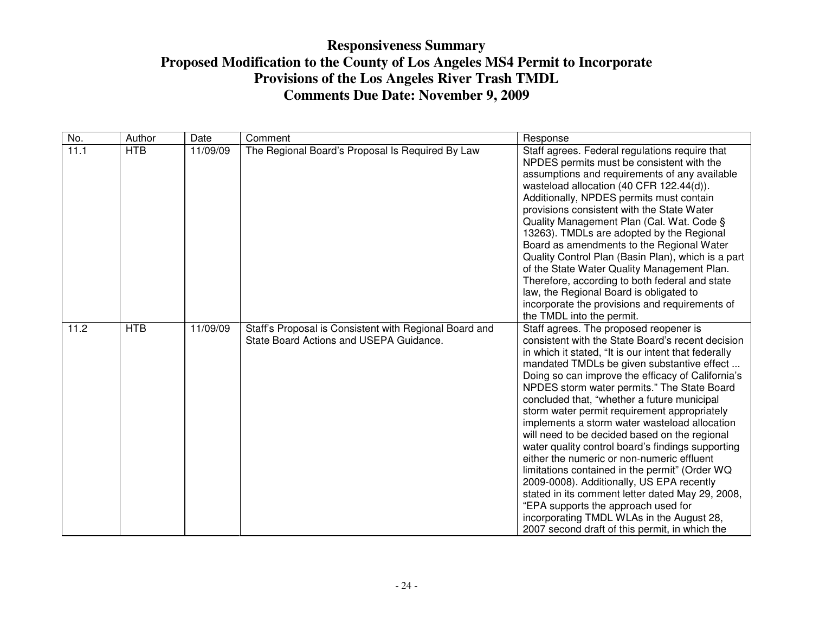| No.  | Author     | Date     | Comment                                                                                           | Response                                                                                                                                                                                                                                                                                                                                                                                                                                                                                                                                                                                                                                                                                                                                                                                                                                                                                           |
|------|------------|----------|---------------------------------------------------------------------------------------------------|----------------------------------------------------------------------------------------------------------------------------------------------------------------------------------------------------------------------------------------------------------------------------------------------------------------------------------------------------------------------------------------------------------------------------------------------------------------------------------------------------------------------------------------------------------------------------------------------------------------------------------------------------------------------------------------------------------------------------------------------------------------------------------------------------------------------------------------------------------------------------------------------------|
| 11.1 | <b>HTB</b> | 11/09/09 | The Regional Board's Proposal Is Required By Law                                                  | Staff agrees. Federal regulations require that<br>NPDES permits must be consistent with the<br>assumptions and requirements of any available<br>wasteload allocation (40 CFR 122.44(d)).<br>Additionally, NPDES permits must contain<br>provisions consistent with the State Water<br>Quality Management Plan (Cal. Wat. Code §<br>13263). TMDLs are adopted by the Regional<br>Board as amendments to the Regional Water<br>Quality Control Plan (Basin Plan), which is a part<br>of the State Water Quality Management Plan.<br>Therefore, according to both federal and state<br>law, the Regional Board is obligated to<br>incorporate the provisions and requirements of<br>the TMDL into the permit.                                                                                                                                                                                         |
| 11.2 | <b>HTB</b> | 11/09/09 | Staff's Proposal is Consistent with Regional Board and<br>State Board Actions and USEPA Guidance. | Staff agrees. The proposed reopener is<br>consistent with the State Board's recent decision<br>in which it stated, "It is our intent that federally<br>mandated TMDLs be given substantive effect<br>Doing so can improve the efficacy of California's<br>NPDES storm water permits." The State Board<br>concluded that, "whether a future municipal<br>storm water permit requirement appropriately<br>implements a storm water wasteload allocation<br>will need to be decided based on the regional<br>water quality control board's findings supporting<br>either the numeric or non-numeric effluent<br>limitations contained in the permit" (Order WQ<br>2009-0008). Additionally, US EPA recently<br>stated in its comment letter dated May 29, 2008,<br>"EPA supports the approach used for<br>incorporating TMDL WLAs in the August 28,<br>2007 second draft of this permit, in which the |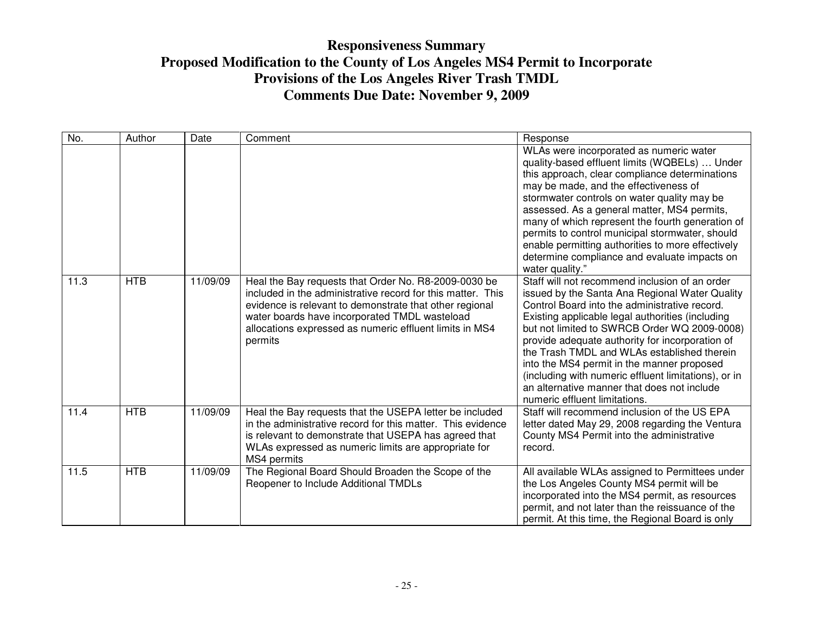| No.  | Author     | Date     | Comment                                                                                                                                                                                                                                                                                               | Response                                                                                                                                                                                                                                                                                                                                                                                                                                                                                                                                      |
|------|------------|----------|-------------------------------------------------------------------------------------------------------------------------------------------------------------------------------------------------------------------------------------------------------------------------------------------------------|-----------------------------------------------------------------------------------------------------------------------------------------------------------------------------------------------------------------------------------------------------------------------------------------------------------------------------------------------------------------------------------------------------------------------------------------------------------------------------------------------------------------------------------------------|
|      |            |          |                                                                                                                                                                                                                                                                                                       | WLAs were incorporated as numeric water<br>quality-based effluent limits (WQBELs)  Under<br>this approach, clear compliance determinations<br>may be made, and the effectiveness of<br>stormwater controls on water quality may be<br>assessed. As a general matter, MS4 permits,<br>many of which represent the fourth generation of<br>permits to control municipal stormwater, should<br>enable permitting authorities to more effectively<br>determine compliance and evaluate impacts on<br>water quality."                              |
| 11.3 | <b>HTB</b> | 11/09/09 | Heal the Bay requests that Order No. R8-2009-0030 be<br>included in the administrative record for this matter. This<br>evidence is relevant to demonstrate that other regional<br>water boards have incorporated TMDL wasteload<br>allocations expressed as numeric effluent limits in MS4<br>permits | Staff will not recommend inclusion of an order<br>issued by the Santa Ana Regional Water Quality<br>Control Board into the administrative record.<br>Existing applicable legal authorities (including<br>but not limited to SWRCB Order WQ 2009-0008)<br>provide adequate authority for incorporation of<br>the Trash TMDL and WLAs established therein<br>into the MS4 permit in the manner proposed<br>(including with numeric effluent limitations), or in<br>an alternative manner that does not include<br>numeric effluent limitations. |
| 11.4 | <b>HTB</b> | 11/09/09 | Heal the Bay requests that the USEPA letter be included<br>in the administrative record for this matter. This evidence<br>is relevant to demonstrate that USEPA has agreed that<br>WLAs expressed as numeric limits are appropriate for<br>MS4 permits                                                | Staff will recommend inclusion of the US EPA<br>letter dated May 29, 2008 regarding the Ventura<br>County MS4 Permit into the administrative<br>record.                                                                                                                                                                                                                                                                                                                                                                                       |
| 11.5 | <b>HTB</b> | 11/09/09 | The Regional Board Should Broaden the Scope of the<br>Reopener to Include Additional TMDLs                                                                                                                                                                                                            | All available WLAs assigned to Permittees under<br>the Los Angeles County MS4 permit will be<br>incorporated into the MS4 permit, as resources<br>permit, and not later than the reissuance of the<br>permit. At this time, the Regional Board is only                                                                                                                                                                                                                                                                                        |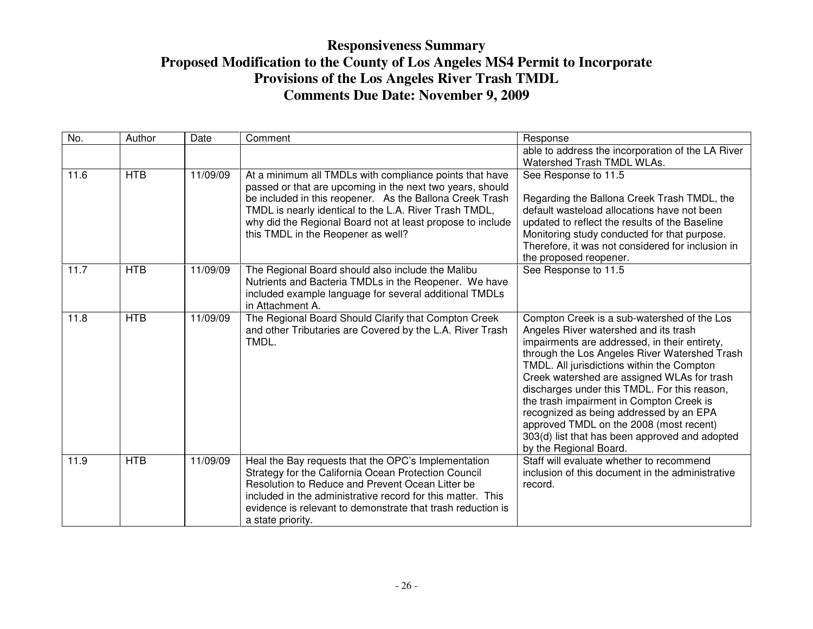| No.  | Author     | Date     | Comment                                                                                                                                                                                                                                                                                                                                        | Response                                                                                                                                                                                                                                                                                                                                                                                                                                                                                                                                          |
|------|------------|----------|------------------------------------------------------------------------------------------------------------------------------------------------------------------------------------------------------------------------------------------------------------------------------------------------------------------------------------------------|---------------------------------------------------------------------------------------------------------------------------------------------------------------------------------------------------------------------------------------------------------------------------------------------------------------------------------------------------------------------------------------------------------------------------------------------------------------------------------------------------------------------------------------------------|
|      |            |          |                                                                                                                                                                                                                                                                                                                                                | able to address the incorporation of the LA River<br>Watershed Trash TMDL WLAs.                                                                                                                                                                                                                                                                                                                                                                                                                                                                   |
| 11.6 | <b>HTB</b> | 11/09/09 | At a minimum all TMDLs with compliance points that have<br>passed or that are upcoming in the next two years, should<br>be included in this reopener. As the Ballona Creek Trash<br>TMDL is nearly identical to the L.A. River Trash TMDL,<br>why did the Regional Board not at least propose to include<br>this TMDL in the Reopener as well? | See Response to 11.5<br>Regarding the Ballona Creek Trash TMDL, the<br>default wasteload allocations have not been<br>updated to reflect the results of the Baseline<br>Monitoring study conducted for that purpose.<br>Therefore, it was not considered for inclusion in<br>the proposed reopener.                                                                                                                                                                                                                                               |
| 11.7 | <b>HTB</b> | 11/09/09 | The Regional Board should also include the Malibu<br>Nutrients and Bacteria TMDLs in the Reopener. We have<br>included example language for several additional TMDLs<br>in Attachment A.                                                                                                                                                       | See Response to 11.5                                                                                                                                                                                                                                                                                                                                                                                                                                                                                                                              |
| 11.8 | <b>HTB</b> | 11/09/09 | The Regional Board Should Clarify that Compton Creek<br>and other Tributaries are Covered by the L.A. River Trash<br>TMDL.                                                                                                                                                                                                                     | Compton Creek is a sub-watershed of the Los<br>Angeles River watershed and its trash<br>impairments are addressed, in their entirety,<br>through the Los Angeles River Watershed Trash<br>TMDL. All jurisdictions within the Compton<br>Creek watershed are assigned WLAs for trash<br>discharges under this TMDL. For this reason,<br>the trash impairment in Compton Creek is<br>recognized as being addressed by an EPA<br>approved TMDL on the 2008 (most recent)<br>303(d) list that has been approved and adopted<br>by the Regional Board. |
| 11.9 | <b>HTB</b> | 11/09/09 | Heal the Bay requests that the OPC's Implementation<br>Strategy for the California Ocean Protection Council<br>Resolution to Reduce and Prevent Ocean Litter be<br>included in the administrative record for this matter. This<br>evidence is relevant to demonstrate that trash reduction is<br>a state priority.                             | Staff will evaluate whether to recommend<br>inclusion of this document in the administrative<br>record.                                                                                                                                                                                                                                                                                                                                                                                                                                           |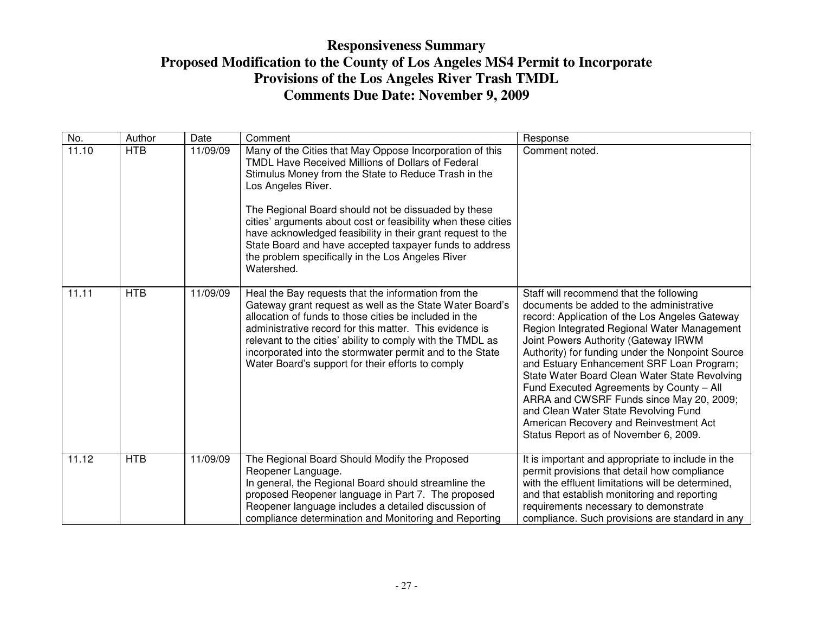| No.   | Author     | Date     | Comment                                                                                                                                                                                                                                                                                                                                                                                                                                                                                                          | Response                                                                                                                                                                                                                                                                                                                                                                                                                                                                                                                                                                                          |
|-------|------------|----------|------------------------------------------------------------------------------------------------------------------------------------------------------------------------------------------------------------------------------------------------------------------------------------------------------------------------------------------------------------------------------------------------------------------------------------------------------------------------------------------------------------------|---------------------------------------------------------------------------------------------------------------------------------------------------------------------------------------------------------------------------------------------------------------------------------------------------------------------------------------------------------------------------------------------------------------------------------------------------------------------------------------------------------------------------------------------------------------------------------------------------|
| 11.10 | <b>HTB</b> | 11/09/09 | Many of the Cities that May Oppose Incorporation of this<br>TMDL Have Received Millions of Dollars of Federal<br>Stimulus Money from the State to Reduce Trash in the<br>Los Angeles River.<br>The Regional Board should not be dissuaded by these<br>cities' arguments about cost or feasibility when these cities<br>have acknowledged feasibility in their grant request to the<br>State Board and have accepted taxpayer funds to address<br>the problem specifically in the Los Angeles River<br>Watershed. | Comment noted.                                                                                                                                                                                                                                                                                                                                                                                                                                                                                                                                                                                    |
| 11.11 | <b>HTB</b> | 11/09/09 | Heal the Bay requests that the information from the<br>Gateway grant request as well as the State Water Board's<br>allocation of funds to those cities be included in the<br>administrative record for this matter. This evidence is<br>relevant to the cities' ability to comply with the TMDL as<br>incorporated into the stormwater permit and to the State<br>Water Board's support for their efforts to comply                                                                                              | Staff will recommend that the following<br>documents be added to the administrative<br>record: Application of the Los Angeles Gateway<br>Region Integrated Regional Water Management<br>Joint Powers Authority (Gateway IRWM<br>Authority) for funding under the Nonpoint Source<br>and Estuary Enhancement SRF Loan Program;<br>State Water Board Clean Water State Revolving<br>Fund Executed Agreements by County - All<br>ARRA and CWSRF Funds since May 20, 2009;<br>and Clean Water State Revolving Fund<br>American Recovery and Reinvestment Act<br>Status Report as of November 6, 2009. |
| 11.12 | <b>HTB</b> | 11/09/09 | The Regional Board Should Modify the Proposed<br>Reopener Language.<br>In general, the Regional Board should streamline the<br>proposed Reopener language in Part 7. The proposed<br>Reopener language includes a detailed discussion of<br>compliance determination and Monitoring and Reporting                                                                                                                                                                                                                | It is important and appropriate to include in the<br>permit provisions that detail how compliance<br>with the effluent limitations will be determined,<br>and that establish monitoring and reporting<br>requirements necessary to demonstrate<br>compliance. Such provisions are standard in any                                                                                                                                                                                                                                                                                                 |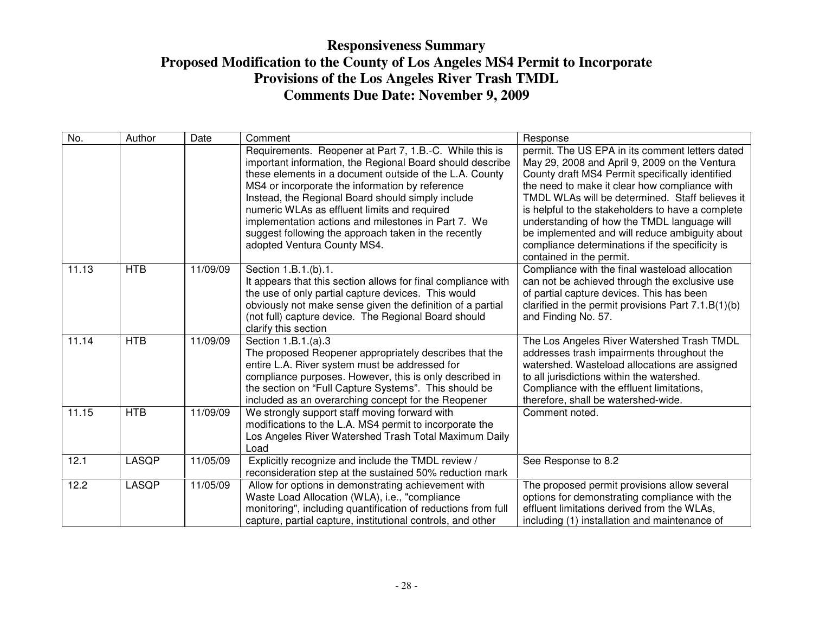| No.   | Author       | Date     | Comment                                                                                                                                                                                                                                                                                                                                                                                                                                                                               | Response                                                                                                                                                                                                                                                                                                                                                                                                                                                                                     |
|-------|--------------|----------|---------------------------------------------------------------------------------------------------------------------------------------------------------------------------------------------------------------------------------------------------------------------------------------------------------------------------------------------------------------------------------------------------------------------------------------------------------------------------------------|----------------------------------------------------------------------------------------------------------------------------------------------------------------------------------------------------------------------------------------------------------------------------------------------------------------------------------------------------------------------------------------------------------------------------------------------------------------------------------------------|
|       |              |          | Requirements. Reopener at Part 7, 1.B.-C. While this is<br>important information, the Regional Board should describe<br>these elements in a document outside of the L.A. County<br>MS4 or incorporate the information by reference<br>Instead, the Regional Board should simply include<br>numeric WLAs as effluent limits and required<br>implementation actions and milestones in Part 7. We<br>suggest following the approach taken in the recently<br>adopted Ventura County MS4. | permit. The US EPA in its comment letters dated<br>May 29, 2008 and April 9, 2009 on the Ventura<br>County draft MS4 Permit specifically identified<br>the need to make it clear how compliance with<br>TMDL WLAs will be determined. Staff believes it<br>is helpful to the stakeholders to have a complete<br>understanding of how the TMDL language will<br>be implemented and will reduce ambiguity about<br>compliance determinations if the specificity is<br>contained in the permit. |
| 11.13 | <b>HTB</b>   | 11/09/09 | Section 1.B.1.(b).1.<br>It appears that this section allows for final compliance with<br>the use of only partial capture devices. This would<br>obviously not make sense given the definition of a partial<br>(not full) capture device. The Regional Board should<br>clarify this section                                                                                                                                                                                            | Compliance with the final wasteload allocation<br>can not be achieved through the exclusive use<br>of partial capture devices. This has been<br>clarified in the permit provisions Part $7.1.B(1)(b)$<br>and Finding No. 57.                                                                                                                                                                                                                                                                 |
| 11.14 | <b>HTB</b>   | 11/09/09 | Section 1.B.1.(a).3<br>The proposed Reopener appropriately describes that the<br>entire L.A. River system must be addressed for<br>compliance purposes. However, this is only described in<br>the section on "Full Capture Systems". This should be<br>included as an overarching concept for the Reopener                                                                                                                                                                            | The Los Angeles River Watershed Trash TMDL<br>addresses trash impairments throughout the<br>watershed. Wasteload allocations are assigned<br>to all jurisdictions within the watershed.<br>Compliance with the effluent limitations,<br>therefore, shall be watershed-wide.                                                                                                                                                                                                                  |
| 11.15 | <b>HTB</b>   | 11/09/09 | We strongly support staff moving forward with<br>modifications to the L.A. MS4 permit to incorporate the<br>Los Angeles River Watershed Trash Total Maximum Daily<br>Load                                                                                                                                                                                                                                                                                                             | Comment noted.                                                                                                                                                                                                                                                                                                                                                                                                                                                                               |
| 12.1  | LASQP        | 11/05/09 | Explicitly recognize and include the TMDL review /<br>reconsideration step at the sustained 50% reduction mark                                                                                                                                                                                                                                                                                                                                                                        | See Response to 8.2                                                                                                                                                                                                                                                                                                                                                                                                                                                                          |
| 12.2  | <b>LASQP</b> | 11/05/09 | Allow for options in demonstrating achievement with<br>Waste Load Allocation (WLA), i.e., "compliance<br>monitoring", including quantification of reductions from full<br>capture, partial capture, institutional controls, and other                                                                                                                                                                                                                                                 | The proposed permit provisions allow several<br>options for demonstrating compliance with the<br>effluent limitations derived from the WLAs,<br>including (1) installation and maintenance of                                                                                                                                                                                                                                                                                                |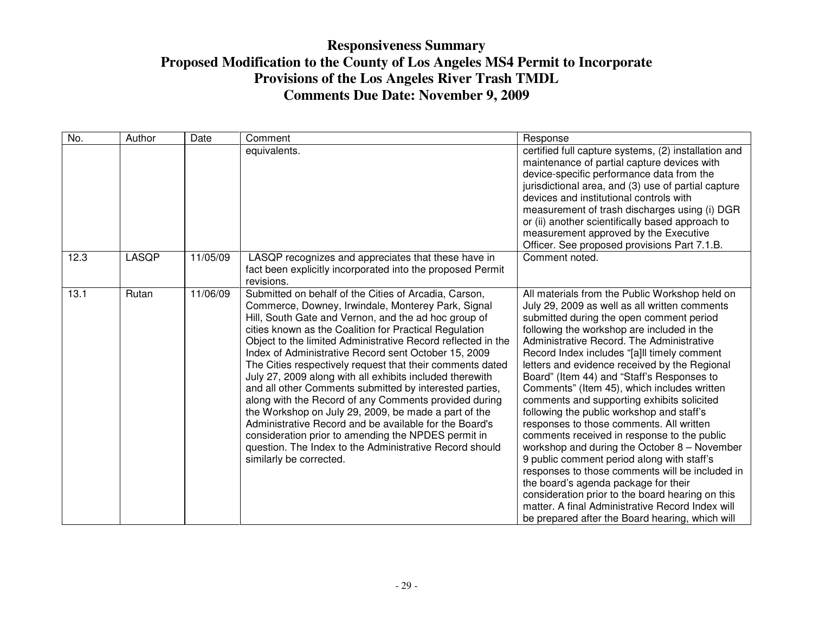| No.  | Author | Date     | Comment                                                                                                                                                                                                                                                                                                                                                                                                                                                                                                                                                                                                                                                                                                                                                                                                                                                           | Response                                                                                                                                                                                                                                                                                                                                                                                                                                                                                                                                                                                                                                                                                                                                                                                                                                                                                                                                                                        |
|------|--------|----------|-------------------------------------------------------------------------------------------------------------------------------------------------------------------------------------------------------------------------------------------------------------------------------------------------------------------------------------------------------------------------------------------------------------------------------------------------------------------------------------------------------------------------------------------------------------------------------------------------------------------------------------------------------------------------------------------------------------------------------------------------------------------------------------------------------------------------------------------------------------------|---------------------------------------------------------------------------------------------------------------------------------------------------------------------------------------------------------------------------------------------------------------------------------------------------------------------------------------------------------------------------------------------------------------------------------------------------------------------------------------------------------------------------------------------------------------------------------------------------------------------------------------------------------------------------------------------------------------------------------------------------------------------------------------------------------------------------------------------------------------------------------------------------------------------------------------------------------------------------------|
|      |        |          | equivalents.                                                                                                                                                                                                                                                                                                                                                                                                                                                                                                                                                                                                                                                                                                                                                                                                                                                      | certified full capture systems, (2) installation and<br>maintenance of partial capture devices with<br>device-specific performance data from the<br>jurisdictional area, and (3) use of partial capture<br>devices and institutional controls with<br>measurement of trash discharges using (i) DGR<br>or (ii) another scientifically based approach to<br>measurement approved by the Executive<br>Officer. See proposed provisions Part 7.1.B.                                                                                                                                                                                                                                                                                                                                                                                                                                                                                                                                |
| 12.3 | LASQP  | 11/05/09 | LASQP recognizes and appreciates that these have in<br>fact been explicitly incorporated into the proposed Permit<br>revisions.                                                                                                                                                                                                                                                                                                                                                                                                                                                                                                                                                                                                                                                                                                                                   | Comment noted.                                                                                                                                                                                                                                                                                                                                                                                                                                                                                                                                                                                                                                                                                                                                                                                                                                                                                                                                                                  |
| 13.1 | Rutan  | 11/06/09 | Submitted on behalf of the Cities of Arcadia, Carson,<br>Commerce, Downey, Irwindale, Monterey Park, Signal<br>Hill, South Gate and Vernon, and the ad hoc group of<br>cities known as the Coalition for Practical Regulation<br>Object to the limited Administrative Record reflected in the<br>Index of Administrative Record sent October 15, 2009<br>The Cities respectively request that their comments dated<br>July 27, 2009 along with all exhibits included therewith<br>and all other Comments submitted by interested parties,<br>along with the Record of any Comments provided during<br>the Workshop on July 29, 2009, be made a part of the<br>Administrative Record and be available for the Board's<br>consideration prior to amending the NPDES permit in<br>question. The Index to the Administrative Record should<br>similarly be corrected. | All materials from the Public Workshop held on<br>July 29, 2009 as well as all written comments<br>submitted during the open comment period<br>following the workshop are included in the<br>Administrative Record. The Administrative<br>Record Index includes "[a]ll timely comment<br>letters and evidence received by the Regional<br>Board" (Item 44) and "Staff's Responses to<br>Comments" (Item 45), which includes written<br>comments and supporting exhibits solicited<br>following the public workshop and staff's<br>responses to those comments. All written<br>comments received in response to the public<br>workshop and during the October $8 -$ November<br>9 public comment period along with staff's<br>responses to those comments will be included in<br>the board's agenda package for their<br>consideration prior to the board hearing on this<br>matter. A final Administrative Record Index will<br>be prepared after the Board hearing, which will |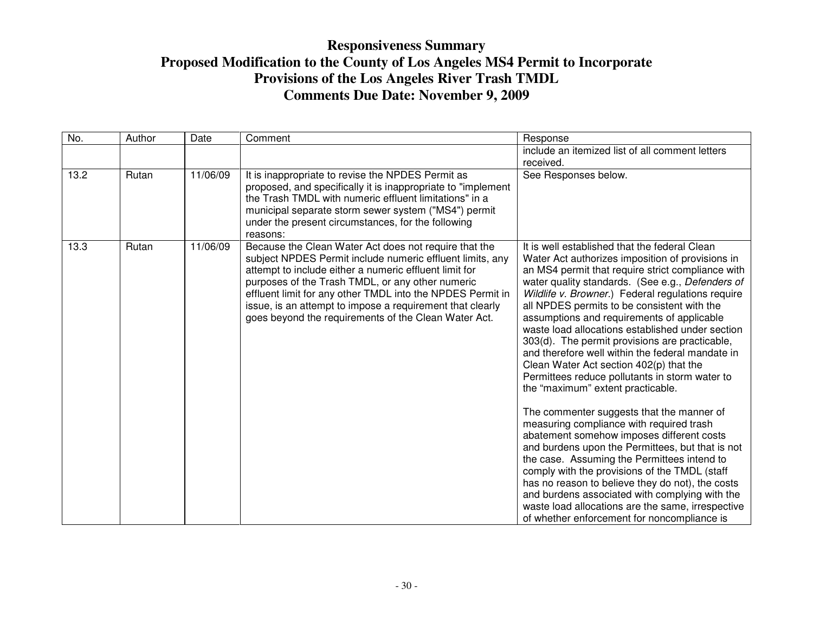| No.  | Author | Date     | Comment                                                                                                                                                                                                                                                                                                                                                                                                             | Response                                                                                                                                                                                                                                                                                                                                                                                                                                                                                                                                                                                                                                                                                                                                                                                                                                                                                                                                                                                                                                                                                                                                                     |
|------|--------|----------|---------------------------------------------------------------------------------------------------------------------------------------------------------------------------------------------------------------------------------------------------------------------------------------------------------------------------------------------------------------------------------------------------------------------|--------------------------------------------------------------------------------------------------------------------------------------------------------------------------------------------------------------------------------------------------------------------------------------------------------------------------------------------------------------------------------------------------------------------------------------------------------------------------------------------------------------------------------------------------------------------------------------------------------------------------------------------------------------------------------------------------------------------------------------------------------------------------------------------------------------------------------------------------------------------------------------------------------------------------------------------------------------------------------------------------------------------------------------------------------------------------------------------------------------------------------------------------------------|
|      |        |          |                                                                                                                                                                                                                                                                                                                                                                                                                     | include an itemized list of all comment letters                                                                                                                                                                                                                                                                                                                                                                                                                                                                                                                                                                                                                                                                                                                                                                                                                                                                                                                                                                                                                                                                                                              |
|      |        |          |                                                                                                                                                                                                                                                                                                                                                                                                                     | received.                                                                                                                                                                                                                                                                                                                                                                                                                                                                                                                                                                                                                                                                                                                                                                                                                                                                                                                                                                                                                                                                                                                                                    |
| 13.2 | Rutan  | 11/06/09 | It is inappropriate to revise the NPDES Permit as<br>proposed, and specifically it is inappropriate to "implement"<br>the Trash TMDL with numeric effluent limitations" in a<br>municipal separate storm sewer system ("MS4") permit<br>under the present circumstances, for the following<br>reasons:                                                                                                              | See Responses below.                                                                                                                                                                                                                                                                                                                                                                                                                                                                                                                                                                                                                                                                                                                                                                                                                                                                                                                                                                                                                                                                                                                                         |
| 13.3 | Rutan  | 11/06/09 | Because the Clean Water Act does not require that the<br>subject NPDES Permit include numeric effluent limits, any<br>attempt to include either a numeric effluent limit for<br>purposes of the Trash TMDL, or any other numeric<br>effluent limit for any other TMDL into the NPDES Permit in<br>issue, is an attempt to impose a requirement that clearly<br>goes beyond the requirements of the Clean Water Act. | It is well established that the federal Clean<br>Water Act authorizes imposition of provisions in<br>an MS4 permit that require strict compliance with<br>water quality standards. (See e.g., Defenders of<br>Wildlife v. Browner.) Federal regulations require<br>all NPDES permits to be consistent with the<br>assumptions and requirements of applicable<br>waste load allocations established under section<br>303(d). The permit provisions are practicable,<br>and therefore well within the federal mandate in<br>Clean Water Act section 402(p) that the<br>Permittees reduce pollutants in storm water to<br>the "maximum" extent practicable.<br>The commenter suggests that the manner of<br>measuring compliance with required trash<br>abatement somehow imposes different costs<br>and burdens upon the Permittees, but that is not<br>the case. Assuming the Permittees intend to<br>comply with the provisions of the TMDL (staff<br>has no reason to believe they do not), the costs<br>and burdens associated with complying with the<br>waste load allocations are the same, irrespective<br>of whether enforcement for noncompliance is |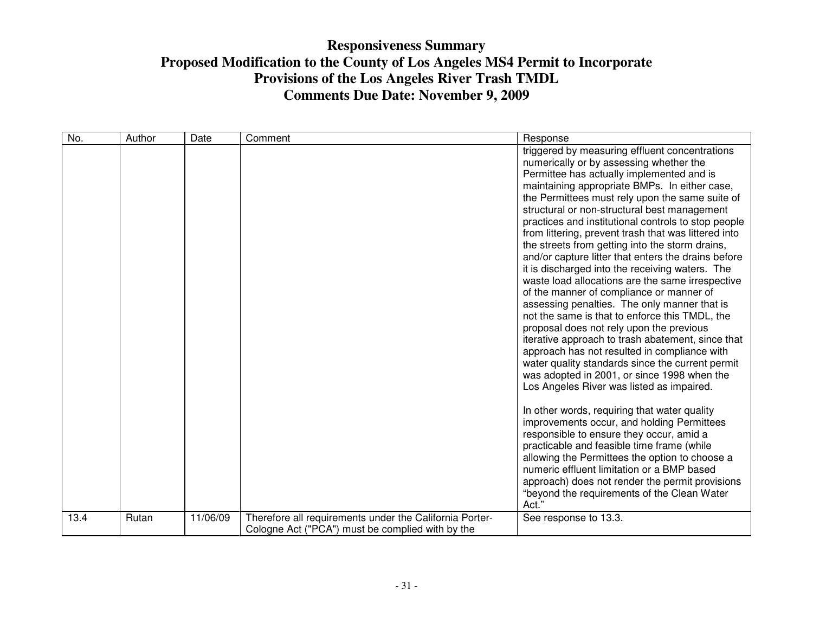| No.           | Date     | Comment                                                                                                     | Response                                                                                                                                                                                                                                                                                                                                                                                                                                                                                                                                                                                                                                                                                                                                                                                                                                                                                                                                                                                                                                                                                                                                                                                                                                                                                                                                                                                                                                                                     |
|---------------|----------|-------------------------------------------------------------------------------------------------------------|------------------------------------------------------------------------------------------------------------------------------------------------------------------------------------------------------------------------------------------------------------------------------------------------------------------------------------------------------------------------------------------------------------------------------------------------------------------------------------------------------------------------------------------------------------------------------------------------------------------------------------------------------------------------------------------------------------------------------------------------------------------------------------------------------------------------------------------------------------------------------------------------------------------------------------------------------------------------------------------------------------------------------------------------------------------------------------------------------------------------------------------------------------------------------------------------------------------------------------------------------------------------------------------------------------------------------------------------------------------------------------------------------------------------------------------------------------------------------|
|               |          |                                                                                                             | triggered by measuring effluent concentrations<br>numerically or by assessing whether the<br>Permittee has actually implemented and is<br>maintaining appropriate BMPs. In either case,<br>the Permittees must rely upon the same suite of<br>structural or non-structural best management<br>practices and institutional controls to stop people<br>from littering, prevent trash that was littered into<br>the streets from getting into the storm drains,<br>and/or capture litter that enters the drains before<br>it is discharged into the receiving waters. The<br>waste load allocations are the same irrespective<br>of the manner of compliance or manner of<br>assessing penalties. The only manner that is<br>not the same is that to enforce this TMDL, the<br>proposal does not rely upon the previous<br>iterative approach to trash abatement, since that<br>approach has not resulted in compliance with<br>water quality standards since the current permit<br>was adopted in 2001, or since 1998 when the<br>Los Angeles River was listed as impaired.<br>In other words, requiring that water quality<br>improvements occur, and holding Permittees<br>responsible to ensure they occur, amid a<br>practicable and feasible time frame (while<br>allowing the Permittees the option to choose a<br>numeric effluent limitation or a BMP based<br>approach) does not render the permit provisions<br>"beyond the requirements of the Clean Water<br>Act." |
| 13.4<br>Rutan | 11/06/09 | Therefore all requirements under the California Porter-<br>Cologne Act ("PCA") must be complied with by the | See response to 13.3.                                                                                                                                                                                                                                                                                                                                                                                                                                                                                                                                                                                                                                                                                                                                                                                                                                                                                                                                                                                                                                                                                                                                                                                                                                                                                                                                                                                                                                                        |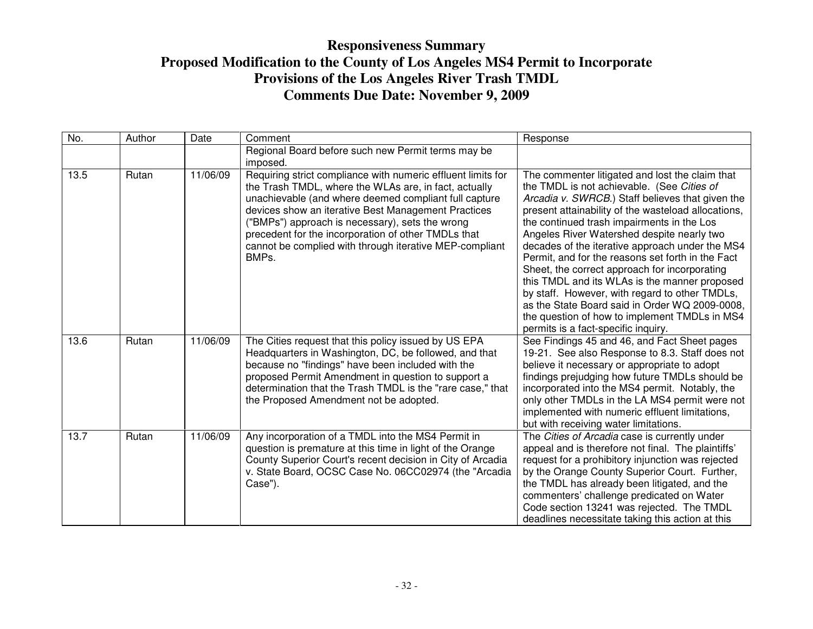| No.  | Author | Date     | Comment                                                                                                                                                                                                                                                                                                                                                                                                            | Response                                                                                                                                                                                                                                                                                                                                                                                                                                                                                                                                                                                                                                                                                                   |
|------|--------|----------|--------------------------------------------------------------------------------------------------------------------------------------------------------------------------------------------------------------------------------------------------------------------------------------------------------------------------------------------------------------------------------------------------------------------|------------------------------------------------------------------------------------------------------------------------------------------------------------------------------------------------------------------------------------------------------------------------------------------------------------------------------------------------------------------------------------------------------------------------------------------------------------------------------------------------------------------------------------------------------------------------------------------------------------------------------------------------------------------------------------------------------------|
|      |        |          | Regional Board before such new Permit terms may be<br>imposed.                                                                                                                                                                                                                                                                                                                                                     |                                                                                                                                                                                                                                                                                                                                                                                                                                                                                                                                                                                                                                                                                                            |
| 13.5 | Rutan  | 11/06/09 | Requiring strict compliance with numeric effluent limits for<br>the Trash TMDL, where the WLAs are, in fact, actually<br>unachievable (and where deemed compliant full capture<br>devices show an iterative Best Management Practices<br>"BMPs") approach is necessary), sets the wrong<br>precedent for the incorporation of other TMDLs that<br>cannot be complied with through iterative MEP-compliant<br>BMPs. | The commenter litigated and lost the claim that<br>the TMDL is not achievable. (See Cities of<br>Arcadia v. SWRCB.) Staff believes that given the<br>present attainability of the wasteload allocations,<br>the continued trash impairments in the Los<br>Angeles River Watershed despite nearly two<br>decades of the iterative approach under the MS4<br>Permit, and for the reasons set forth in the Fact<br>Sheet, the correct approach for incorporating<br>this TMDL and its WLAs is the manner proposed<br>by staff. However, with regard to other TMDLs,<br>as the State Board said in Order WQ 2009-0008,<br>the question of how to implement TMDLs in MS4<br>permits is a fact-specific inquiry. |
| 13.6 | Rutan  | 11/06/09 | The Cities request that this policy issued by US EPA<br>Headquarters in Washington, DC, be followed, and that<br>because no "findings" have been included with the<br>proposed Permit Amendment in question to support a<br>determination that the Trash TMDL is the "rare case," that<br>the Proposed Amendment not be adopted.                                                                                   | See Findings 45 and 46, and Fact Sheet pages<br>19-21. See also Response to 8.3. Staff does not<br>believe it necessary or appropriate to adopt<br>findings prejudging how future TMDLs should be<br>incorporated into the MS4 permit. Notably, the<br>only other TMDLs in the LA MS4 permit were not<br>implemented with numeric effluent limitations,<br>but with receiving water limitations.                                                                                                                                                                                                                                                                                                           |
| 13.7 | Rutan  | 11/06/09 | Any incorporation of a TMDL into the MS4 Permit in<br>question is premature at this time in light of the Orange<br>County Superior Court's recent decision in City of Arcadia<br>v. State Board, OCSC Case No. 06CC02974 (the "Arcadia<br>Case").                                                                                                                                                                  | The Cities of Arcadia case is currently under<br>appeal and is therefore not final. The plaintiffs'<br>request for a prohibitory injunction was rejected<br>by the Orange County Superior Court. Further,<br>the TMDL has already been litigated, and the<br>commenters' challenge predicated on Water<br>Code section 13241 was rejected. The TMDL<br>deadlines necessitate taking this action at this                                                                                                                                                                                                                                                                                                    |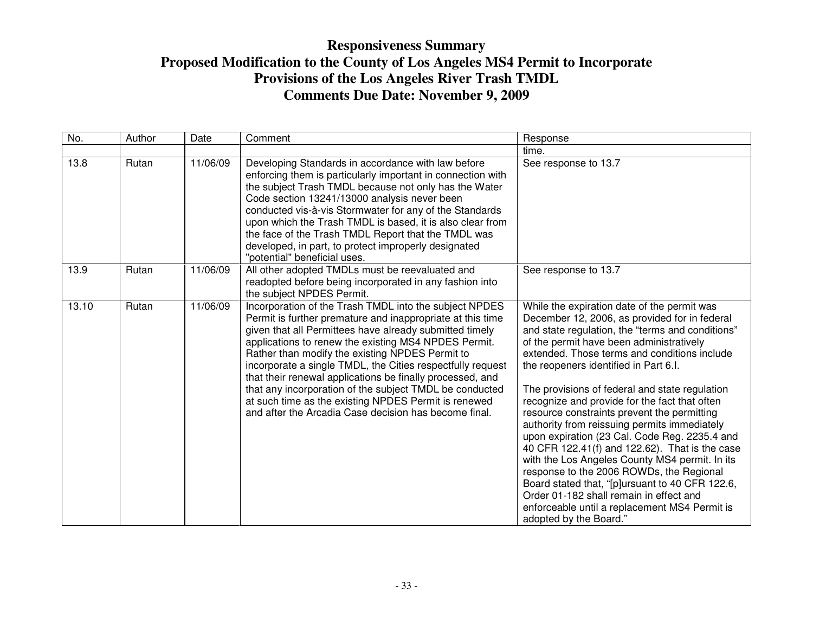| No.   | Author | Date     | Comment                                                                                                                                                                                                                                                                                                                                                                                                                                                                                                                                                                                           | Response                                                                                                                                                                                                                                                                                                                                                                                                                                                                                                                                                                                                                                                                                                                                                                                                                                                          |
|-------|--------|----------|---------------------------------------------------------------------------------------------------------------------------------------------------------------------------------------------------------------------------------------------------------------------------------------------------------------------------------------------------------------------------------------------------------------------------------------------------------------------------------------------------------------------------------------------------------------------------------------------------|-------------------------------------------------------------------------------------------------------------------------------------------------------------------------------------------------------------------------------------------------------------------------------------------------------------------------------------------------------------------------------------------------------------------------------------------------------------------------------------------------------------------------------------------------------------------------------------------------------------------------------------------------------------------------------------------------------------------------------------------------------------------------------------------------------------------------------------------------------------------|
|       |        |          |                                                                                                                                                                                                                                                                                                                                                                                                                                                                                                                                                                                                   | time.                                                                                                                                                                                                                                                                                                                                                                                                                                                                                                                                                                                                                                                                                                                                                                                                                                                             |
| 13.8  | Rutan  | 11/06/09 | Developing Standards in accordance with law before<br>enforcing them is particularly important in connection with<br>the subject Trash TMDL because not only has the Water<br>Code section 13241/13000 analysis never been<br>conducted vis-à-vis Stormwater for any of the Standards<br>upon which the Trash TMDL is based, it is also clear from<br>the face of the Trash TMDL Report that the TMDL was<br>developed, in part, to protect improperly designated<br>"potential" beneficial uses.                                                                                                 | See response to 13.7                                                                                                                                                                                                                                                                                                                                                                                                                                                                                                                                                                                                                                                                                                                                                                                                                                              |
| 13.9  | Rutan  | 11/06/09 | All other adopted TMDLs must be reevaluated and<br>readopted before being incorporated in any fashion into<br>the subject NPDES Permit.                                                                                                                                                                                                                                                                                                                                                                                                                                                           | See response to 13.7                                                                                                                                                                                                                                                                                                                                                                                                                                                                                                                                                                                                                                                                                                                                                                                                                                              |
| 13.10 | Rutan  | 11/06/09 | Incorporation of the Trash TMDL into the subject NPDES<br>Permit is further premature and inappropriate at this time<br>given that all Permittees have already submitted timely<br>applications to renew the existing MS4 NPDES Permit.<br>Rather than modify the existing NPDES Permit to<br>incorporate a single TMDL, the Cities respectfully request<br>that their renewal applications be finally processed, and<br>that any incorporation of the subject TMDL be conducted<br>at such time as the existing NPDES Permit is renewed<br>and after the Arcadia Case decision has become final. | While the expiration date of the permit was<br>December 12, 2006, as provided for in federal<br>and state regulation, the "terms and conditions"<br>of the permit have been administratively<br>extended. Those terms and conditions include<br>the reopeners identified in Part 6.I.<br>The provisions of federal and state regulation<br>recognize and provide for the fact that often<br>resource constraints prevent the permitting<br>authority from reissuing permits immediately<br>upon expiration (23 Cal. Code Reg. 2235.4 and<br>40 CFR 122.41(f) and 122.62). That is the case<br>with the Los Angeles County MS4 permit. In its<br>response to the 2006 ROWDs, the Regional<br>Board stated that, "[p]ursuant to 40 CFR 122.6,<br>Order 01-182 shall remain in effect and<br>enforceable until a replacement MS4 Permit is<br>adopted by the Board." |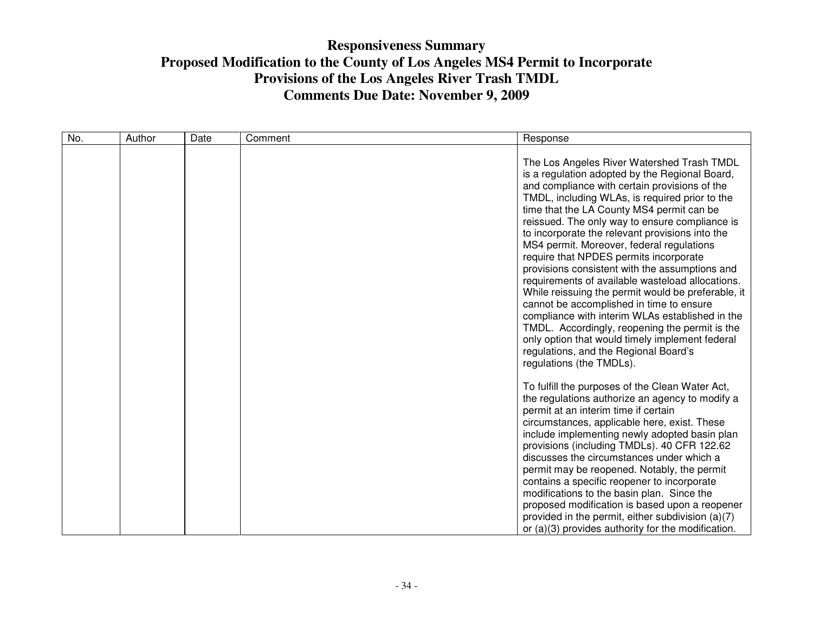| No. | Author | Date | Comment | Response                                                                                                                                                                                                                                                                                                                                                                                                                                                                                                                                                                                                                                                                                                                                                                                                                                                                      |
|-----|--------|------|---------|-------------------------------------------------------------------------------------------------------------------------------------------------------------------------------------------------------------------------------------------------------------------------------------------------------------------------------------------------------------------------------------------------------------------------------------------------------------------------------------------------------------------------------------------------------------------------------------------------------------------------------------------------------------------------------------------------------------------------------------------------------------------------------------------------------------------------------------------------------------------------------|
|     |        |      |         | The Los Angeles River Watershed Trash TMDL<br>is a regulation adopted by the Regional Board,<br>and compliance with certain provisions of the<br>TMDL, including WLAs, is required prior to the<br>time that the LA County MS4 permit can be<br>reissued. The only way to ensure compliance is<br>to incorporate the relevant provisions into the<br>MS4 permit. Moreover, federal regulations<br>require that NPDES permits incorporate<br>provisions consistent with the assumptions and<br>requirements of available wasteload allocations.<br>While reissuing the permit would be preferable, it<br>cannot be accomplished in time to ensure<br>compliance with interim WLAs established in the<br>TMDL. Accordingly, reopening the permit is the<br>only option that would timely implement federal<br>regulations, and the Regional Board's<br>regulations (the TMDLs). |
|     |        |      |         | To fulfill the purposes of the Clean Water Act,<br>the regulations authorize an agency to modify a<br>permit at an interim time if certain<br>circumstances, applicable here, exist. These<br>include implementing newly adopted basin plan<br>provisions (including TMDLs). 40 CFR 122.62<br>discusses the circumstances under which a<br>permit may be reopened. Notably, the permit<br>contains a specific reopener to incorporate<br>modifications to the basin plan. Since the<br>proposed modification is based upon a reopener<br>provided in the permit, either subdivision (a)(7)<br>or (a)(3) provides authority for the modification.                                                                                                                                                                                                                              |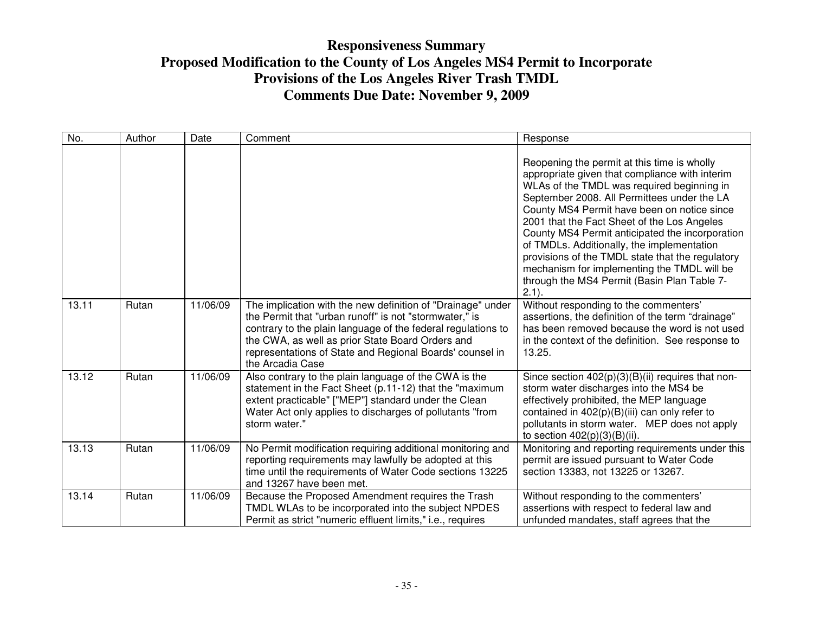| No.   | Author | Date     | Comment                                                                                                                                                                                                                                                                                                                   | Response                                                                                                                                                                                                                                                                                                                                                                                                                                                                                                                                                |
|-------|--------|----------|---------------------------------------------------------------------------------------------------------------------------------------------------------------------------------------------------------------------------------------------------------------------------------------------------------------------------|---------------------------------------------------------------------------------------------------------------------------------------------------------------------------------------------------------------------------------------------------------------------------------------------------------------------------------------------------------------------------------------------------------------------------------------------------------------------------------------------------------------------------------------------------------|
|       |        |          |                                                                                                                                                                                                                                                                                                                           | Reopening the permit at this time is wholly<br>appropriate given that compliance with interim<br>WLAs of the TMDL was required beginning in<br>September 2008. All Permittees under the LA<br>County MS4 Permit have been on notice since<br>2001 that the Fact Sheet of the Los Angeles<br>County MS4 Permit anticipated the incorporation<br>of TMDLs. Additionally, the implementation<br>provisions of the TMDL state that the regulatory<br>mechanism for implementing the TMDL will be<br>through the MS4 Permit (Basin Plan Table 7-<br>$2.1$ ). |
| 13.11 | Rutan  | 11/06/09 | The implication with the new definition of "Drainage" under<br>the Permit that "urban runoff" is not "stormwater," is<br>contrary to the plain language of the federal regulations to<br>the CWA, as well as prior State Board Orders and<br>representations of State and Regional Boards' counsel in<br>the Arcadia Case | Without responding to the commenters'<br>assertions, the definition of the term "drainage"<br>has been removed because the word is not used<br>in the context of the definition. See response to<br>13.25.                                                                                                                                                                                                                                                                                                                                              |
| 13.12 | Rutan  | 11/06/09 | Also contrary to the plain language of the CWA is the<br>statement in the Fact Sheet (p.11-12) that the "maximum<br>extent practicable" ["MEP"] standard under the Clean<br>Water Act only applies to discharges of pollutants "from<br>storm water."                                                                     | Since section $402(p)(3)(B)(ii)$ requires that non-<br>storm water discharges into the MS4 be<br>effectively prohibited, the MEP language<br>contained in 402(p)(B)(iii) can only refer to<br>pollutants in storm water. MEP does not apply<br>to section $402(p)(3)(B)(ii)$ .                                                                                                                                                                                                                                                                          |
| 13.13 | Rutan  | 11/06/09 | No Permit modification requiring additional monitoring and<br>reporting requirements may lawfully be adopted at this<br>time until the requirements of Water Code sections 13225<br>and 13267 have been met.                                                                                                              | Monitoring and reporting requirements under this<br>permit are issued pursuant to Water Code<br>section 13383, not 13225 or 13267.                                                                                                                                                                                                                                                                                                                                                                                                                      |
| 13.14 | Rutan  | 11/06/09 | Because the Proposed Amendment requires the Trash<br>TMDL WLAs to be incorporated into the subject NPDES<br>Permit as strict "numeric effluent limits," i.e., requires                                                                                                                                                    | Without responding to the commenters'<br>assertions with respect to federal law and<br>unfunded mandates, staff agrees that the                                                                                                                                                                                                                                                                                                                                                                                                                         |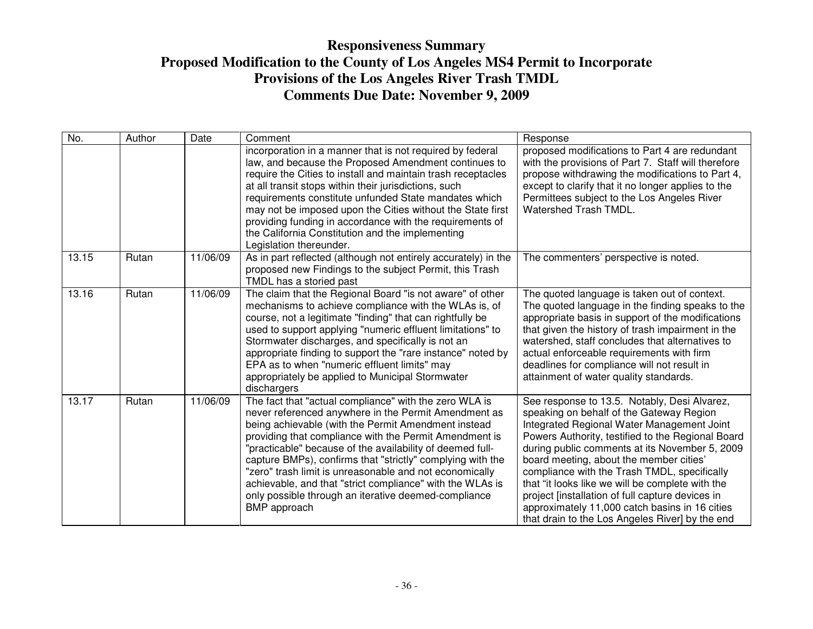| No.   | Author | Date     | Comment                                                                                                                                                                                                                                                                                                                                                                                                                                                                                                                                                           | Response                                                                                                                                                                                                                                                                                                                                                                                                                                                                                                                                              |
|-------|--------|----------|-------------------------------------------------------------------------------------------------------------------------------------------------------------------------------------------------------------------------------------------------------------------------------------------------------------------------------------------------------------------------------------------------------------------------------------------------------------------------------------------------------------------------------------------------------------------|-------------------------------------------------------------------------------------------------------------------------------------------------------------------------------------------------------------------------------------------------------------------------------------------------------------------------------------------------------------------------------------------------------------------------------------------------------------------------------------------------------------------------------------------------------|
|       |        |          | incorporation in a manner that is not required by federal<br>law, and because the Proposed Amendment continues to<br>require the Cities to install and maintain trash receptacles<br>at all transit stops within their jurisdictions, such<br>requirements constitute unfunded State mandates which<br>may not be imposed upon the Cities without the State first<br>providing funding in accordance with the requirements of<br>the California Constitution and the implementing<br>Legislation thereunder.                                                      | proposed modifications to Part 4 are redundant<br>with the provisions of Part 7. Staff will therefore<br>propose withdrawing the modifications to Part 4,<br>except to clarify that it no longer applies to the<br>Permittees subject to the Los Angeles River<br><b>Watershed Trash TMDL.</b>                                                                                                                                                                                                                                                        |
| 13.15 | Rutan  | 11/06/09 | As in part reflected (although not entirely accurately) in the<br>proposed new Findings to the subject Permit, this Trash<br>TMDL has a storied past                                                                                                                                                                                                                                                                                                                                                                                                              | The commenters' perspective is noted.                                                                                                                                                                                                                                                                                                                                                                                                                                                                                                                 |
| 13.16 | Rutan  | 11/06/09 | The claim that the Regional Board "is not aware" of other<br>mechanisms to achieve compliance with the WLAs is, of<br>course, not a legitimate "finding" that can rightfully be<br>used to support applying "numeric effluent limitations" to<br>Stormwater discharges, and specifically is not an<br>appropriate finding to support the "rare instance" noted by<br>EPA as to when "numeric effluent limits" may<br>appropriately be applied to Municipal Stormwater<br>dischargers                                                                              | The quoted language is taken out of context.<br>The quoted language in the finding speaks to the<br>appropriate basis in support of the modifications<br>that given the history of trash impairment in the<br>watershed, staff concludes that alternatives to<br>actual enforceable requirements with firm<br>deadlines for compliance will not result in<br>attainment of water quality standards.                                                                                                                                                   |
| 13.17 | Rutan  | 11/06/09 | The fact that "actual compliance" with the zero WLA is<br>never referenced anywhere in the Permit Amendment as<br>being achievable (with the Permit Amendment instead<br>providing that compliance with the Permit Amendment is<br>"practicable" because of the availability of deemed full-<br>capture BMPs), confirms that "strictly" complying with the<br>"zero" trash limit is unreasonable and not economically<br>achievable, and that "strict compliance" with the WLAs is<br>only possible through an iterative deemed-compliance<br><b>BMP</b> approach | See response to 13.5. Notably, Desi Alvarez,<br>speaking on behalf of the Gateway Region<br>Integrated Regional Water Management Joint<br>Powers Authority, testified to the Regional Board<br>during public comments at its November 5, 2009<br>board meeting, about the member cities'<br>compliance with the Trash TMDL, specifically<br>that "it looks like we will be complete with the<br>project [installation of full capture devices in<br>approximately 11,000 catch basins in 16 cities<br>that drain to the Los Angeles River] by the end |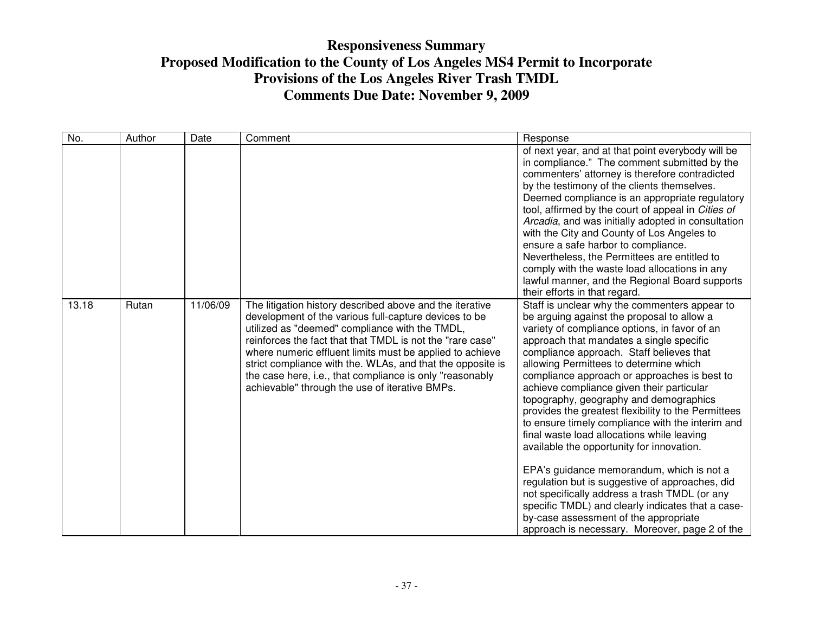| No.   | Author | Date     | Comment                                                                                                                                                                                                                                                                                                                                                                                                                                                                  | Response                                                                                                                                                                                                                                                                                                                                                                                                                                                                                                                                                                                                                                                                                                                                                                                                                                                                                                                     |
|-------|--------|----------|--------------------------------------------------------------------------------------------------------------------------------------------------------------------------------------------------------------------------------------------------------------------------------------------------------------------------------------------------------------------------------------------------------------------------------------------------------------------------|------------------------------------------------------------------------------------------------------------------------------------------------------------------------------------------------------------------------------------------------------------------------------------------------------------------------------------------------------------------------------------------------------------------------------------------------------------------------------------------------------------------------------------------------------------------------------------------------------------------------------------------------------------------------------------------------------------------------------------------------------------------------------------------------------------------------------------------------------------------------------------------------------------------------------|
|       |        |          |                                                                                                                                                                                                                                                                                                                                                                                                                                                                          | of next year, and at that point everybody will be<br>in compliance." The comment submitted by the<br>commenters' attorney is therefore contradicted<br>by the testimony of the clients themselves.<br>Deemed compliance is an appropriate regulatory<br>tool, affirmed by the court of appeal in Cities of<br>Arcadia, and was initially adopted in consultation<br>with the City and County of Los Angeles to<br>ensure a safe harbor to compliance.<br>Nevertheless, the Permittees are entitled to<br>comply with the waste load allocations in any<br>lawful manner, and the Regional Board supports<br>their efforts in that regard.                                                                                                                                                                                                                                                                                    |
| 13.18 | Rutan  | 11/06/09 | The litigation history described above and the iterative<br>development of the various full-capture devices to be<br>utilized as "deemed" compliance with the TMDL,<br>reinforces the fact that that TMDL is not the "rare case"<br>where numeric effluent limits must be applied to achieve<br>strict compliance with the. WLAs, and that the opposite is<br>the case here, i.e., that compliance is only "reasonably<br>achievable" through the use of iterative BMPs. | Staff is unclear why the commenters appear to<br>be arguing against the proposal to allow a<br>variety of compliance options, in favor of an<br>approach that mandates a single specific<br>compliance approach. Staff believes that<br>allowing Permittees to determine which<br>compliance approach or approaches is best to<br>achieve compliance given their particular<br>topography, geography and demographics<br>provides the greatest flexibility to the Permittees<br>to ensure timely compliance with the interim and<br>final waste load allocations while leaving<br>available the opportunity for innovation.<br>EPA's guidance memorandum, which is not a<br>regulation but is suggestive of approaches, did<br>not specifically address a trash TMDL (or any<br>specific TMDL) and clearly indicates that a case-<br>by-case assessment of the appropriate<br>approach is necessary. Moreover, page 2 of the |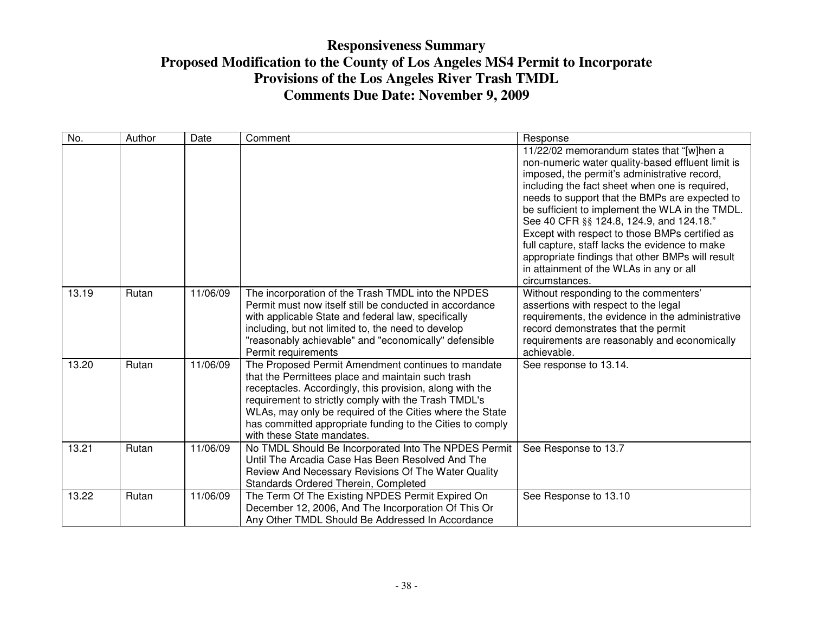| No.   | Author | Date     | Comment                                                                                                                                                                                                                                                                                                                                                                            | Response                                                                                                                                                                                                                                                                                                                                                                                                                                                                                                                                                               |
|-------|--------|----------|------------------------------------------------------------------------------------------------------------------------------------------------------------------------------------------------------------------------------------------------------------------------------------------------------------------------------------------------------------------------------------|------------------------------------------------------------------------------------------------------------------------------------------------------------------------------------------------------------------------------------------------------------------------------------------------------------------------------------------------------------------------------------------------------------------------------------------------------------------------------------------------------------------------------------------------------------------------|
|       |        |          |                                                                                                                                                                                                                                                                                                                                                                                    | 11/22/02 memorandum states that "[w]hen a<br>non-numeric water quality-based effluent limit is<br>imposed, the permit's administrative record,<br>including the fact sheet when one is required,<br>needs to support that the BMPs are expected to<br>be sufficient to implement the WLA in the TMDL.<br>See 40 CFR §§ 124.8, 124.9, and 124.18."<br>Except with respect to those BMPs certified as<br>full capture, staff lacks the evidence to make<br>appropriate findings that other BMPs will result<br>in attainment of the WLAs in any or all<br>circumstances. |
| 13.19 | Rutan  | 11/06/09 | The incorporation of the Trash TMDL into the NPDES<br>Permit must now itself still be conducted in accordance<br>with applicable State and federal law, specifically<br>including, but not limited to, the need to develop<br>"reasonably achievable" and "economically" defensible<br>Permit requirements                                                                         | Without responding to the commenters'<br>assertions with respect to the legal<br>requirements, the evidence in the administrative<br>record demonstrates that the permit<br>requirements are reasonably and economically<br>achievable.                                                                                                                                                                                                                                                                                                                                |
| 13.20 | Rutan  | 11/06/09 | The Proposed Permit Amendment continues to mandate<br>that the Permittees place and maintain such trash<br>receptacles. Accordingly, this provision, along with the<br>requirement to strictly comply with the Trash TMDL's<br>WLAs, may only be required of the Cities where the State<br>has committed appropriate funding to the Cities to comply<br>with these State mandates. | See response to 13.14.                                                                                                                                                                                                                                                                                                                                                                                                                                                                                                                                                 |
| 13.21 | Rutan  | 11/06/09 | No TMDL Should Be Incorporated Into The NPDES Permit<br>Until The Arcadia Case Has Been Resolved And The<br>Review And Necessary Revisions Of The Water Quality<br>Standards Ordered Therein, Completed                                                                                                                                                                            | See Response to 13.7                                                                                                                                                                                                                                                                                                                                                                                                                                                                                                                                                   |
| 13.22 | Rutan  | 11/06/09 | The Term Of The Existing NPDES Permit Expired On<br>December 12, 2006, And The Incorporation Of This Or<br>Any Other TMDL Should Be Addressed In Accordance                                                                                                                                                                                                                        | See Response to 13.10                                                                                                                                                                                                                                                                                                                                                                                                                                                                                                                                                  |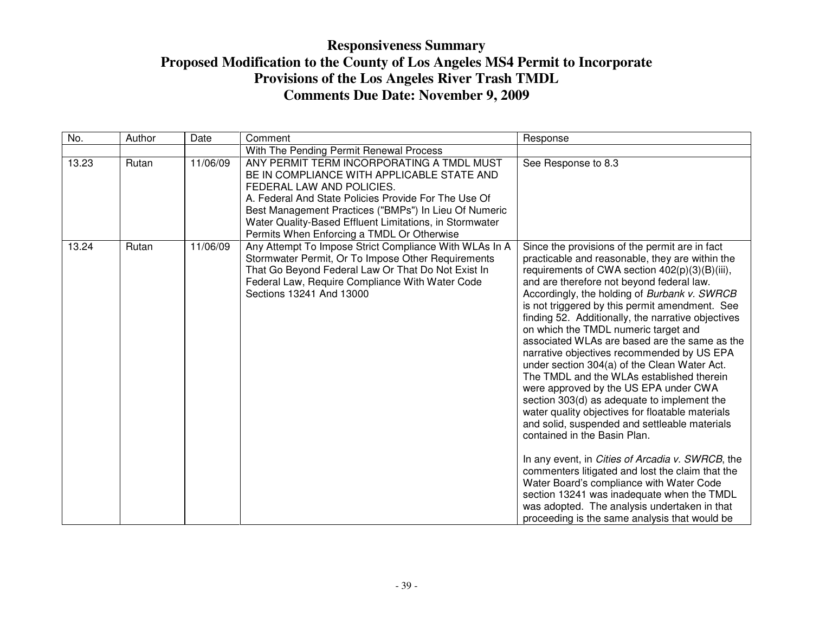| No.   | Author | Date     | Comment                                                                                                                                                                                                                                                                                                                                        | Response                                                                                                                                                                                                                                                                                                                                                                                                                                                                                                                                                                                                                                                                                                                                                                                                                                                                                                                                                                                                                                                                                                                     |
|-------|--------|----------|------------------------------------------------------------------------------------------------------------------------------------------------------------------------------------------------------------------------------------------------------------------------------------------------------------------------------------------------|------------------------------------------------------------------------------------------------------------------------------------------------------------------------------------------------------------------------------------------------------------------------------------------------------------------------------------------------------------------------------------------------------------------------------------------------------------------------------------------------------------------------------------------------------------------------------------------------------------------------------------------------------------------------------------------------------------------------------------------------------------------------------------------------------------------------------------------------------------------------------------------------------------------------------------------------------------------------------------------------------------------------------------------------------------------------------------------------------------------------------|
|       |        |          | With The Pending Permit Renewal Process                                                                                                                                                                                                                                                                                                        |                                                                                                                                                                                                                                                                                                                                                                                                                                                                                                                                                                                                                                                                                                                                                                                                                                                                                                                                                                                                                                                                                                                              |
| 13.23 | Rutan  | 11/06/09 | ANY PERMIT TERM INCORPORATING A TMDL MUST<br>BE IN COMPLIANCE WITH APPLICABLE STATE AND<br>FEDERAL LAW AND POLICIES.<br>A. Federal And State Policies Provide For The Use Of<br>Best Management Practices ("BMPs") In Lieu Of Numeric<br>Water Quality-Based Effluent Limitations, in Stormwater<br>Permits When Enforcing a TMDL Or Otherwise | See Response to 8.3                                                                                                                                                                                                                                                                                                                                                                                                                                                                                                                                                                                                                                                                                                                                                                                                                                                                                                                                                                                                                                                                                                          |
| 13.24 | Rutan  | 11/06/09 | Any Attempt To Impose Strict Compliance With WLAs In A<br>Stormwater Permit, Or To Impose Other Requirements<br>That Go Beyond Federal Law Or That Do Not Exist In<br>Federal Law, Require Compliance With Water Code<br>Sections 13241 And 13000                                                                                              | Since the provisions of the permit are in fact<br>practicable and reasonable, they are within the<br>requirements of CWA section 402(p)(3)(B)(iii),<br>and are therefore not beyond federal law.<br>Accordingly, the holding of Burbank v. SWRCB<br>is not triggered by this permit amendment. See<br>finding 52. Additionally, the narrative objectives<br>on which the TMDL numeric target and<br>associated WLAs are based are the same as the<br>narrative objectives recommended by US EPA<br>under section 304(a) of the Clean Water Act.<br>The TMDL and the WLAs established therein<br>were approved by the US EPA under CWA<br>section 303(d) as adequate to implement the<br>water quality objectives for floatable materials<br>and solid, suspended and settleable materials<br>contained in the Basin Plan.<br>In any event, in Cities of Arcadia v. SWRCB, the<br>commenters litigated and lost the claim that the<br>Water Board's compliance with Water Code<br>section 13241 was inadequate when the TMDL<br>was adopted. The analysis undertaken in that<br>proceeding is the same analysis that would be |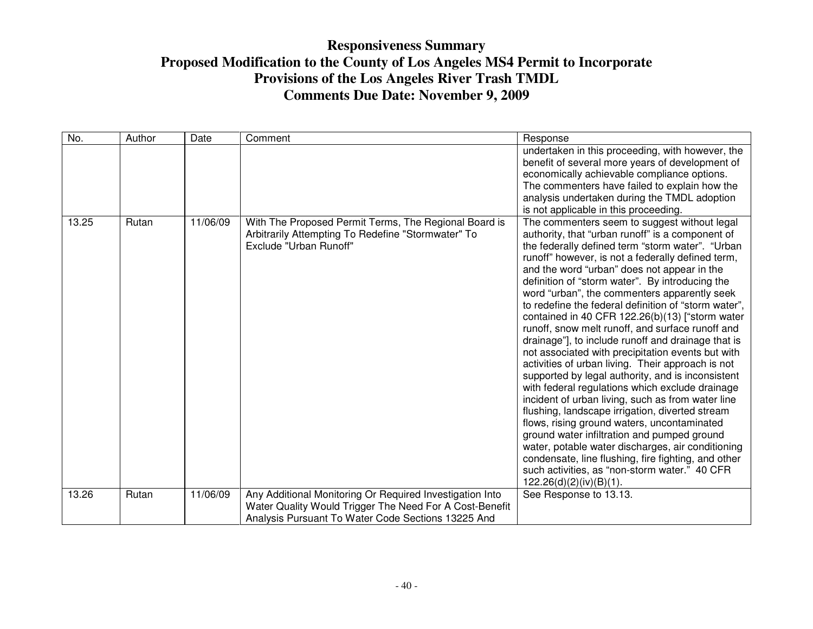| No.   | Author | Date     | Comment                                                                                                                                                                   | Response                                                                                                                                                                                                                                                                                                                                                                                                                                                                                                                                                                                                                                                                                                                                                                                                                                                                                                                                                                                                                                                                                                                                                                                            |
|-------|--------|----------|---------------------------------------------------------------------------------------------------------------------------------------------------------------------------|-----------------------------------------------------------------------------------------------------------------------------------------------------------------------------------------------------------------------------------------------------------------------------------------------------------------------------------------------------------------------------------------------------------------------------------------------------------------------------------------------------------------------------------------------------------------------------------------------------------------------------------------------------------------------------------------------------------------------------------------------------------------------------------------------------------------------------------------------------------------------------------------------------------------------------------------------------------------------------------------------------------------------------------------------------------------------------------------------------------------------------------------------------------------------------------------------------|
|       |        |          |                                                                                                                                                                           | undertaken in this proceeding, with however, the<br>benefit of several more years of development of<br>economically achievable compliance options.<br>The commenters have failed to explain how the<br>analysis undertaken during the TMDL adoption<br>is not applicable in this proceeding.                                                                                                                                                                                                                                                                                                                                                                                                                                                                                                                                                                                                                                                                                                                                                                                                                                                                                                        |
| 13.25 | Rutan  | 11/06/09 | With The Proposed Permit Terms, The Regional Board is<br>Arbitrarily Attempting To Redefine "Stormwater" To<br>Exclude "Urban Runoff"                                     | The commenters seem to suggest without legal<br>authority, that "urban runoff" is a component of<br>the federally defined term "storm water". "Urban<br>runoff" however, is not a federally defined term,<br>and the word "urban" does not appear in the<br>definition of "storm water". By introducing the<br>word "urban", the commenters apparently seek<br>to redefine the federal definition of "storm water",<br>contained in 40 CFR 122.26(b)(13) ["storm water<br>runoff, snow melt runoff, and surface runoff and<br>drainage"], to include runoff and drainage that is<br>not associated with precipitation events but with<br>activities of urban living. Their approach is not<br>supported by legal authority, and is inconsistent<br>with federal regulations which exclude drainage<br>incident of urban living, such as from water line<br>flushing, landscape irrigation, diverted stream<br>flows, rising ground waters, uncontaminated<br>ground water infiltration and pumped ground<br>water, potable water discharges, air conditioning<br>condensate, line flushing, fire fighting, and other<br>such activities, as "non-storm water." 40 CFR<br>$122.26(d)(2)(iv)(B)(1)$ . |
| 13.26 | Rutan  | 11/06/09 | Any Additional Monitoring Or Required Investigation Into<br>Water Quality Would Trigger The Need For A Cost-Benefit<br>Analysis Pursuant To Water Code Sections 13225 And | See Response to 13.13.                                                                                                                                                                                                                                                                                                                                                                                                                                                                                                                                                                                                                                                                                                                                                                                                                                                                                                                                                                                                                                                                                                                                                                              |